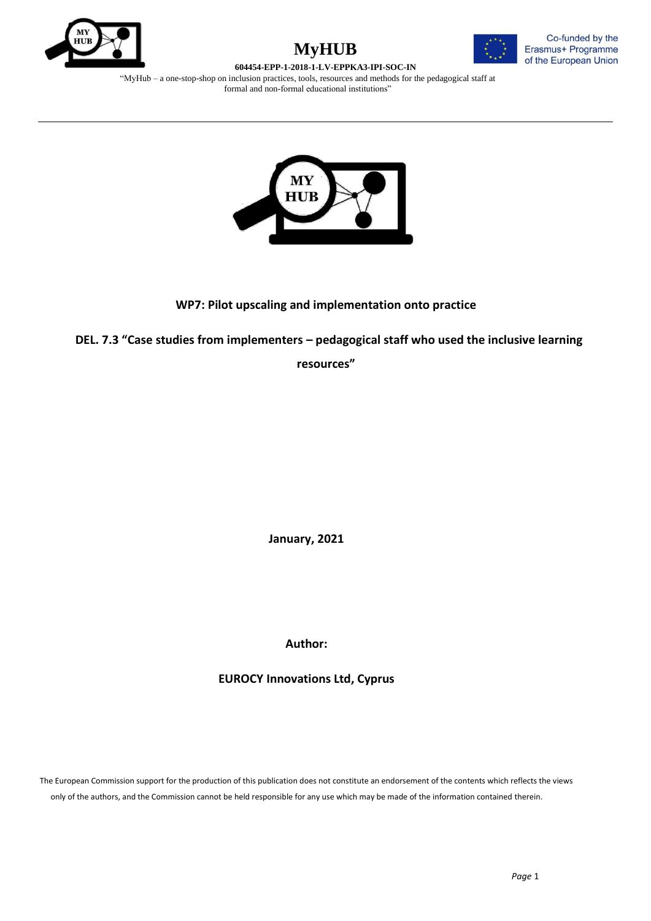





"MyHub – a one-stop-shop on inclusion practices, tools, resources and methods for the pedagogical staff at formal and non-formal educational institutions"



## **WP7: Pilot upscaling and implementation onto practice**

 **DEL. 7.3 "Case studies from implementers – pedagogical staff who used the inclusive learning** 

**resources"**

**January, 2021**

**Author:**

**EUROCY Innovations Ltd, Cyprus**

The European Commission support for the production of this publication does not constitute an endorsement of the contents which reflects the views only of the authors, and the Commission cannot be held responsible for any use which may be made of the information contained therein.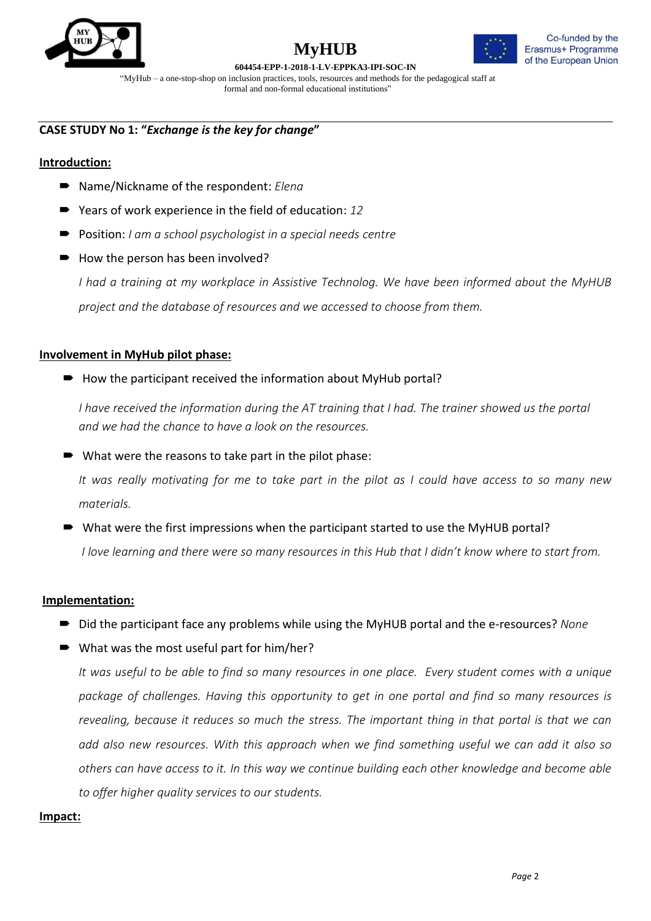



**604454-EPP-1-2018-1-LV-EPPKA3-IPI-SOC-IN** "MyHub – a one-stop-shop on inclusion practices, tools, resources and methods for the pedagogical staff at

formal and non-formal educational institutions"

## **CASE STUDY No 1: "***Exchange is the key for change***"**

## **Introduction:**

- Name/Nickname of the respondent: *Eleng*
- Years of work experience in the field of education: 12
- Position: *I am a school psychologist in a special needs centre*
- How the person has been involved?

*I had a training at my workplace in Assistive Technolog. We have been informed about the MyHUB project and the database of resources and we accessed to choose from them.*

## **Involvement in MyHub pilot phase:**

 $\rightarrow$  How the participant received the information about MyHub portal?

*I* have received the information during the AT training that *I* had. The trainer showed us the portal *and we had the chance to have a look on the resources.*

■ What were the reasons to take part in the pilot phase:

*It was really motivating for me to take part in the pilot as I could have access to so many new materials.* 

■ What were the first impressions when the participant started to use the MyHUB portal?

*I love learning and there were so many resources in this Hub that I didn't know where to start from.*

## **Implementation:**

- Did the participant face any problems while using the MyHUB portal and the e-resources? *None*
- What was the most useful part for him/her?

*It was useful to be able to find so many resources in one place. Every student comes with a unique package of challenges. Having this opportunity to get in one portal and find so many resources is revealing, because it reduces so much the stress. The important thing in that portal is that we can add also new resources. With this approach when we find something useful we can add it also so others can have access to it. In this way we continue building each other knowledge and become able to offer higher quality services to our students.*

## **Impact:**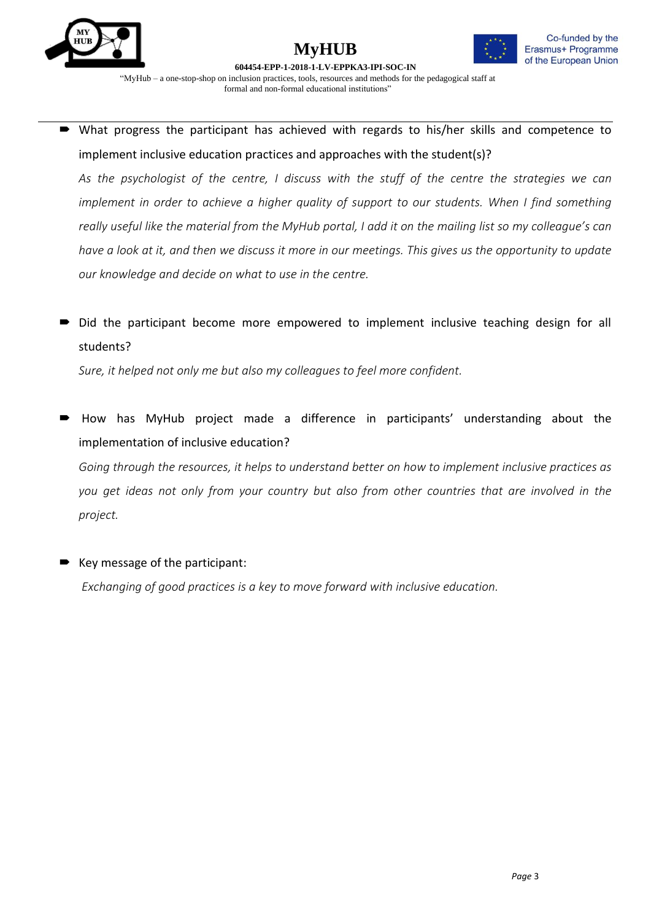





 What progress the participant has achieved with regards to his/her skills and competence to implement inclusive education practices and approaches with the student(s)?

*As the psychologist of the centre, I discuss with the stuff of the centre the strategies we can implement in order to achieve a higher quality of support to our students. When I find something really useful like the material from the MyHub portal, I add it on the mailing list so my colleague's can have a look at it, and then we discuss it more in our meetings. This gives us the opportunity to update our knowledge and decide on what to use in the centre.*

 Did the participant become more empowered to implement inclusive teaching design for all students?

*Sure, it helped not only me but also my colleagues to feel more confident.*

 How has MyHub project made a difference in participants' understanding about the implementation of inclusive education?

*Going through the resources, it helps to understand better on how to implement inclusive practices as you get ideas not only from your country but also from other countries that are involved in the project.*

Key message of the participant:

*Exchanging of good practices is a key to move forward with inclusive education.*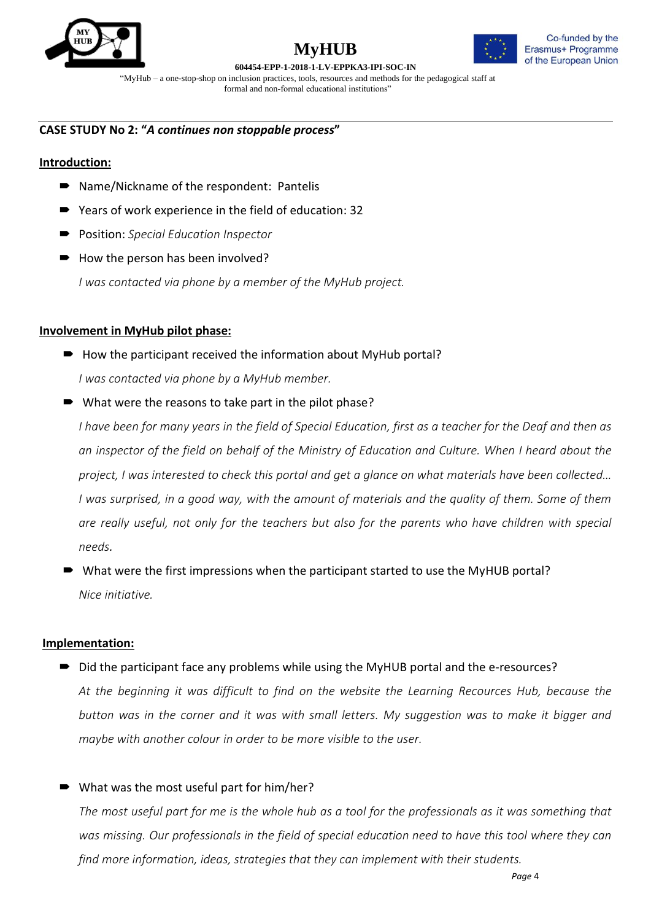



#### **604454-EPP-1-2018-1-LV-EPPKA3-IPI-SOC-IN**

"MyHub – a one-stop-shop on inclusion practices, tools, resources and methods for the pedagogical staff at formal and non-formal educational institutions"

## **CASE STUDY No 2: "***A continues non stoppable process***"**

#### **Introduction:**

- Name/Nickname of the respondent: Pantelis
- Years of work experience in the field of education: 32
- Position: *Special Education Inspector*
- How the person has been involved?

*I was contacted via phone by a member of the MyHub project.*

#### **Involvement in MyHub pilot phase:**

- $\rightarrow$  How the participant received the information about MyHub portal? *I was contacted via phone by a MyHub member.*
- What were the reasons to take part in the pilot phase?

*I have been for many years in the field of Special Education, first as a teacher for the Deaf and then as an inspector of the field on behalf of the Ministry of Education and Culture. When I heard about the project, I was interested to check this portal and get a glance on what materials have been collected… I was surprised, in a good way, with the amount of materials and the quality of them. Some of them are really useful, not only for the teachers but also for the parents who have children with special needs.* 

 What were the first impressions when the participant started to use the MyHUB portal? *Nice initiative.*

#### **Implementation:**

- Did the participant face any problems while using the MyHUB portal and the e-resources? *At the beginning it was difficult to find on the website the Learning Recources Hub, because the button was in the corner and it was with small letters. My suggestion was to make it bigger and maybe with another colour in order to be more visible to the user.*
- What was the most useful part for him/her?

*The most useful part for me is the whole hub as a tool for the professionals as it was something that was missing. Our professionals in the field of special education need to have this tool where they can find more information, ideas, strategies that they can implement with their students.*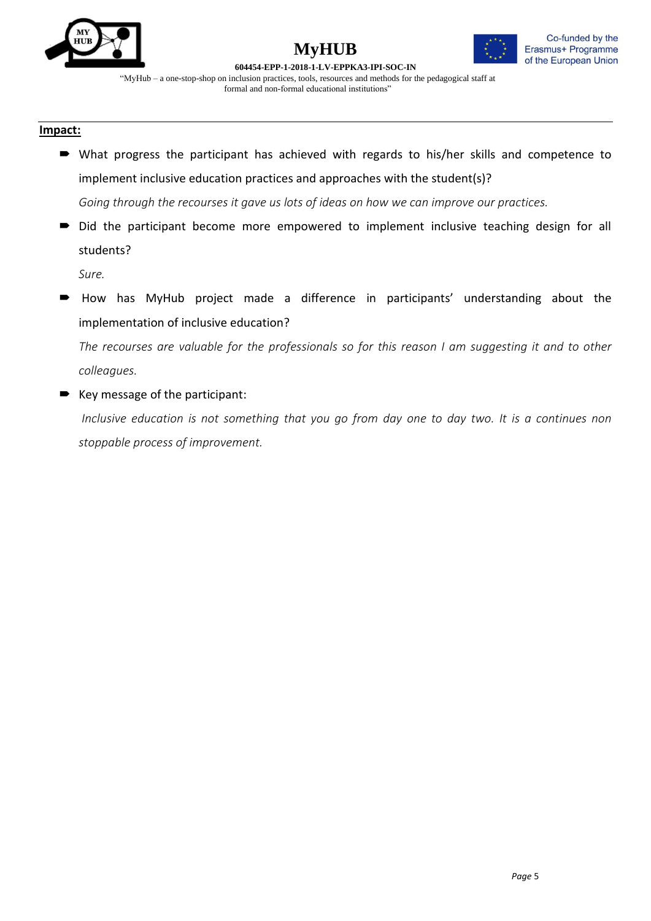



**604454-EPP-1-2018-1-LV-EPPKA3-IPI-SOC-IN** "MyHub – a one-stop-shop on inclusion practices, tools, resources and methods for the pedagogical staff at formal and non-formal educational institutions"

#### **Impact:**

- What progress the participant has achieved with regards to his/her skills and competence to implement inclusive education practices and approaches with the student(s)? *Going through the recourses it gave us lots of ideas on how we can improve our practices.*
- $\blacksquare$  Did the participant become more empowered to implement inclusive teaching design for all students?

*Sure.*

 How has MyHub project made a difference in participants' understanding about the implementation of inclusive education?

*The recourses are valuable for the professionals so for this reason I am suggesting it and to other colleagues.*

■ Key message of the participant:

*Inclusive education is not something that you go from day one to day two. It is a continues non stoppable process of improvement.*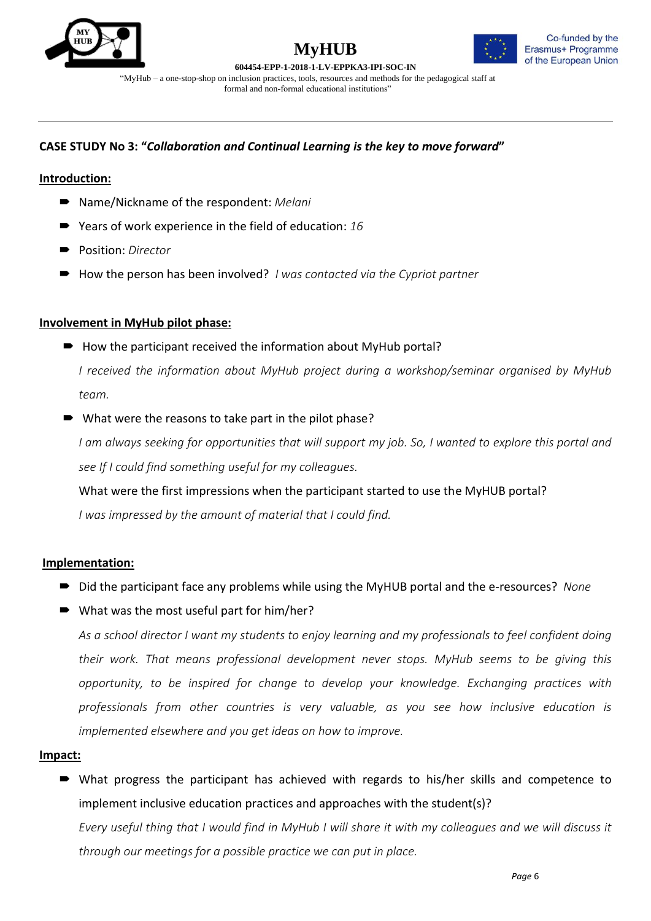



**604454-EPP-1-2018-1-LV-EPPKA3-IPI-SOC-IN**

"MyHub – a one-stop-shop on inclusion practices, tools, resources and methods for the pedagogical staff at formal and non-formal educational institutions"

## **CASE STUDY No 3: "***Collaboration and Continual Learning is the key to move forward***"**

## **Introduction:**

- Name/Nickname of the respondent: *Melani*
- Years of work experience in the field of education: 16
- Position: *Director*
- How the person has been involved? *I was contacted via the Cypriot partner*

## **Involvement in MyHub pilot phase:**

 $\rightarrow$  How the participant received the information about MyHub portal?

*I received the information about MyHub project during a workshop/seminar organised by MyHub team.*

What were the reasons to take part in the pilot phase?

*I am always seeking for opportunities that will support my job. So, I wanted to explore this portal and see If I could find something useful for my colleagues.* 

What were the first impressions when the participant started to use the MyHUB portal? *I was impressed by the amount of material that I could find.*

## **Implementation:**

- Did the participant face any problems while using the MyHUB portal and the e-resources? *None*
- What was the most useful part for him/her?

*As a school director I want my students to enjoy learning and my professionals to feel confident doing their work. That means professional development never stops. MyHub seems to be giving this opportunity, to be inspired for change to develop your knowledge. Exchanging practices with professionals from other countries is very valuable, as you see how inclusive education is implemented elsewhere and you get ideas on how to improve.*

## **Impact:**

 What progress the participant has achieved with regards to his/her skills and competence to implement inclusive education practices and approaches with the student(s)?

*Every useful thing that I would find in MyHub I will share it with my colleagues and we will discuss it through our meetings for a possible practice we can put in place.*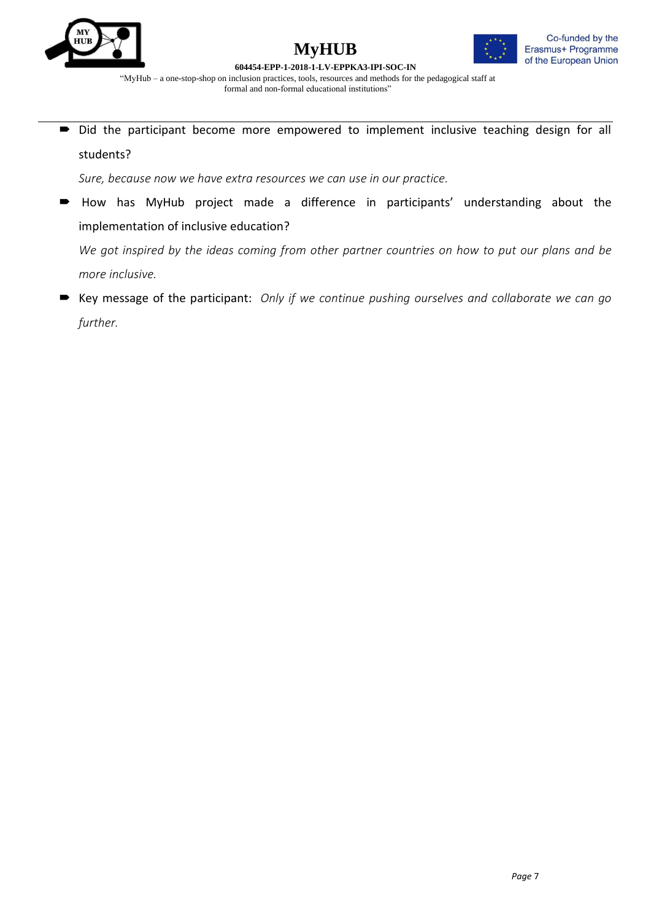





"MyHub – a one-stop-shop on inclusion practices, tools, resources and methods for the pedagogical staff at formal and non-formal educational institutions"

 $\rightarrow$  Did the participant become more empowered to implement inclusive teaching design for all students?

*Sure, because now we have extra resources we can use in our practice.*

 How has MyHub project made a difference in participants' understanding about the implementation of inclusive education?

*We got inspired by the ideas coming from other partner countries on how to put our plans and be more inclusive.*

 Key message of the participant: *Only if we continue pushing ourselves and collaborate we can go further.*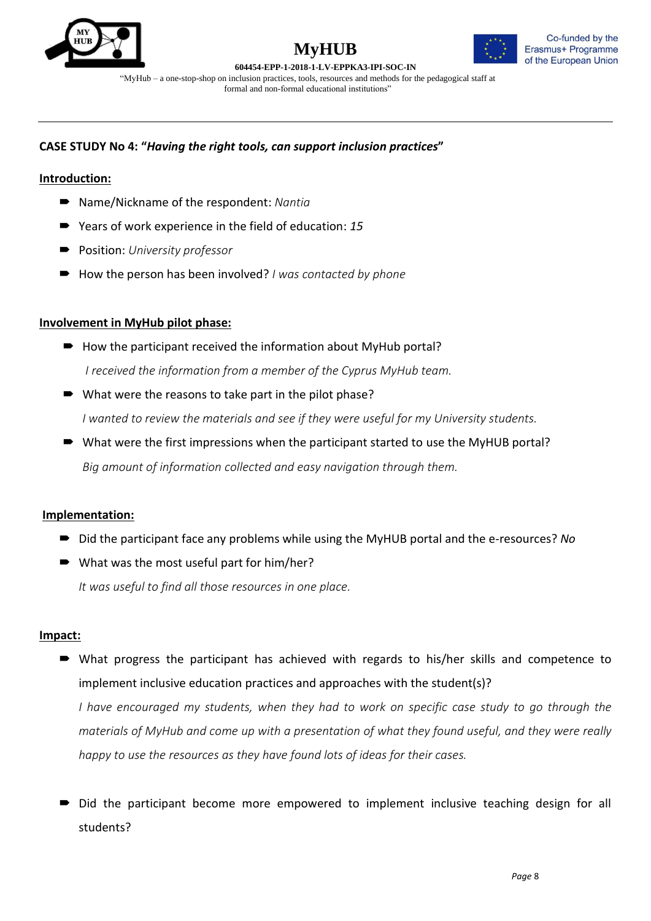



**604454-EPP-1-2018-1-LV-EPPKA3-IPI-SOC-IN** "MyHub – a one-stop-shop on inclusion practices, tools, resources and methods for the pedagogical staff at

formal and non-formal educational institutions"

## **CASE STUDY No 4: "***Having the right tools, can support inclusion practices***"**

## **Introduction:**

- Name/Nickname of the respondent: *Nantia*
- Years of work experience in the field of education: 15
- Position: *University professor*
- How the person has been involved? *I was contacted by phone*

## **Involvement in MyHub pilot phase:**

- $\rightarrow$  How the participant received the information about MyHub portal? *I received the information from a member of the Cyprus MyHub team.*
- What were the reasons to take part in the pilot phase? *I wanted to review the materials and see if they were useful for my University students.*
- What were the first impressions when the participant started to use the MyHUB portal? *Big amount of information collected and easy navigation through them.*

## **Implementation:**

- Did the participant face any problems while using the MyHUB portal and the e-resources? *No*
- What was the most useful part for him/her? *It was useful to find all those resources in one place.*

## **Impact:**

 What progress the participant has achieved with regards to his/her skills and competence to implement inclusive education practices and approaches with the student(s)?

*I have encouraged my students, when they had to work on specific case study to go through the materials of MyHub and come up with a presentation of what they found useful, and they were really happy to use the resources as they have found lots of ideas for their cases.*

 Did the participant become more empowered to implement inclusive teaching design for all students?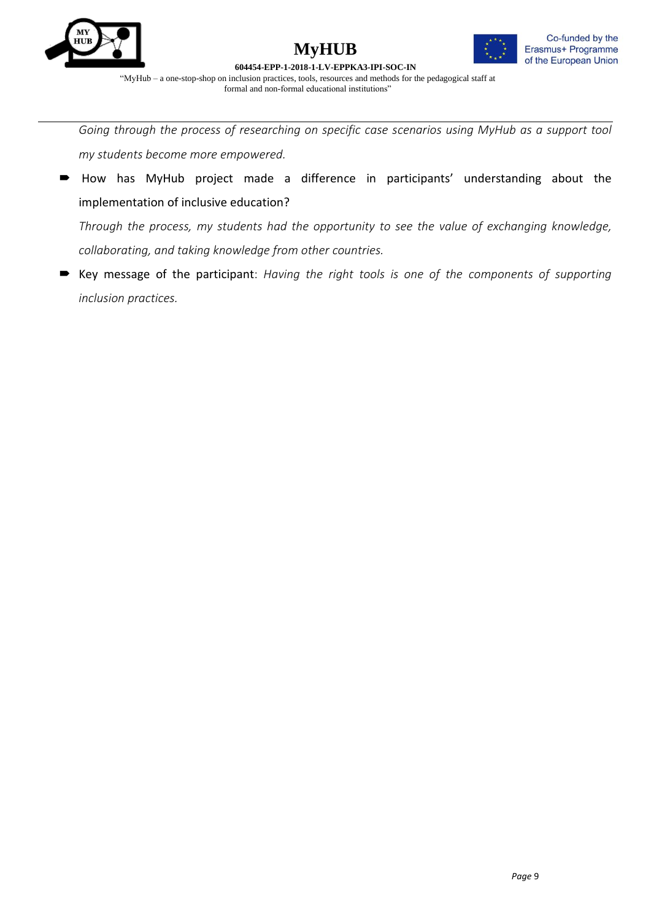





*Going through the process of researching on specific case scenarios using MyHub as a support tool my students become more empowered.*

 How has MyHub project made a difference in participants' understanding about the implementation of inclusive education?

*Through the process, my students had the opportunity to see the value of exchanging knowledge, collaborating, and taking knowledge from other countries.*

 Key message of the participant: *Having the right tools is one of the components of supporting inclusion practices.*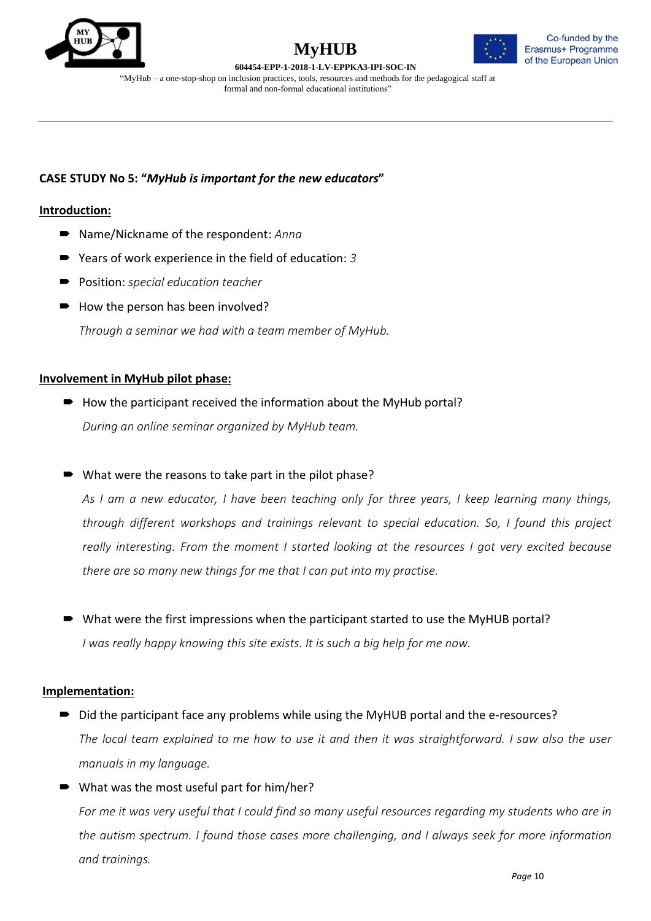





"MyHub – a one-stop-shop on inclusion practices, tools, resources and methods for the pedagogical staff at formal and non-formal educational institutions"

## **CASE STUDY No 5: "***MyHub is important for the new educators***"**

## **Introduction:**

- Name/Nickname of the respondent: *Anna*
- Years of work experience in the field of education: 3
- Position: *special education teacher*
- $\rightarrow$  How the person has been involved?

*Through a seminar we had with a team member of MyHub.*

#### **Involvement in MyHub pilot phase:**

- $\rightarrow$  How the participant received the information about the MyHub portal? *During an online seminar organized by MyHub team.*
- What were the reasons to take part in the pilot phase?

*As I am a new educator, I have been teaching only for three years, I keep learning many things, through different workshops and trainings relevant to special education. So, I found this project really interesting. From the moment I started looking at the resources I got very excited because there are so many new things for me that I can put into my practise.*

 What were the first impressions when the participant started to use the MyHUB portal? *I was really happy knowing this site exists. It is such a big help for me now.*

#### **Implementation:**

- Did the participant face any problems while using the MyHUB portal and the e-resources? *The local team explained to me how to use it and then it was straightforward. I saw also the user manuals in my language.*
- What was the most useful part for him/her?

*For me it was very useful that I could find so many useful resources regarding my students who are in the autism spectrum. I found those cases more challenging, and I always seek for more information and trainings.*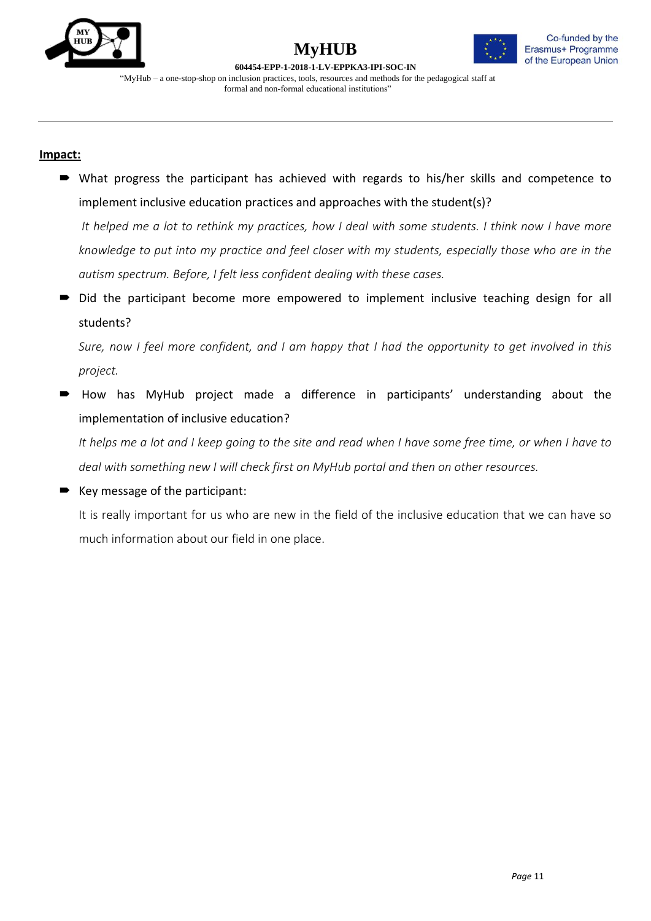

## **MyHUB 604454-EPP-1-2018-1-LV-EPPKA3-IPI-SOC-IN**



"MyHub – a one-stop-shop on inclusion practices, tools, resources and methods for the pedagogical staff at formal and non-formal educational institutions"

## **Impact:**

 What progress the participant has achieved with regards to his/her skills and competence to implement inclusive education practices and approaches with the student(s)?

*It helped me a lot to rethink my practices, how I deal with some students. I think now I have more knowledge to put into my practice and feel closer with my students, especially those who are in the autism spectrum. Before, I felt less confident dealing with these cases.*

Did the participant become more empowered to implement inclusive teaching design for all students?

*Sure, now I feel more confident, and I am happy that I had the opportunity to get involved in this project.*

 How has MyHub project made a difference in participants' understanding about the implementation of inclusive education?

*It helps me a lot and I keep going to the site and read when I have some free time, or when I have to deal with something new I will check first on MyHub portal and then on other resources.* 

Key message of the participant:

It is really important for us who are new in the field of the inclusive education that we can have so much information about our field in one place.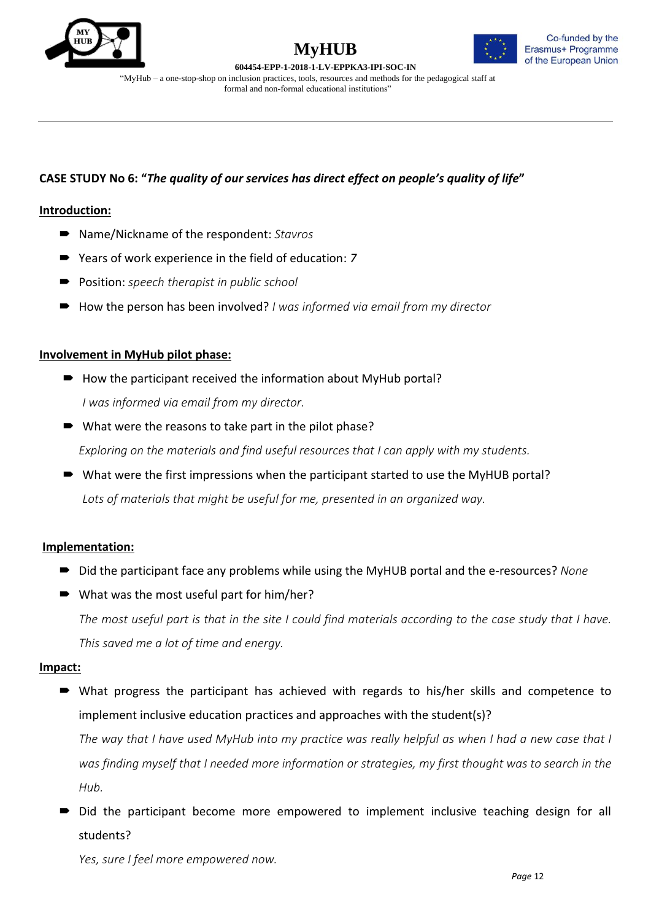





## **CASE STUDY No 6: "***The quality of our services has direct effect on people's quality of life***"**

## **Introduction:**

- Name/Nickname of the respondent: *Stavros*
- Years of work experience in the field of education: 7
- Position: *speech therapist in public school*
- How the person has been involved? *I was informed via email from my director*

#### **Involvement in MyHub pilot phase:**

- $\rightarrow$  How the participant received the information about MyHub portal? *I was informed via email from my director.*
- What were the reasons to take part in the pilot phase?

*Exploring on the materials and find useful resources that I can apply with my students.*

■ What were the first impressions when the participant started to use the MyHUB portal? *Lots of materials that might be useful for me, presented in an organized way.*

## **Implementation:**

- Did the participant face any problems while using the MyHUB portal and the e-resources? *None*
- What was the most useful part for him/her? *The most useful part is that in the site I could find materials according to the case study that I have. This saved me a lot of time and energy.*

#### **Impact:**

 What progress the participant has achieved with regards to his/her skills and competence to implement inclusive education practices and approaches with the student(s)?

*The way that I have used MyHub into my practice was really helpful as when I had a new case that I was finding myself that I needed more information or strategies, my first thought was to search in the Hub.* 

 Did the participant become more empowered to implement inclusive teaching design for all students?

*Yes, sure I feel more empowered now.*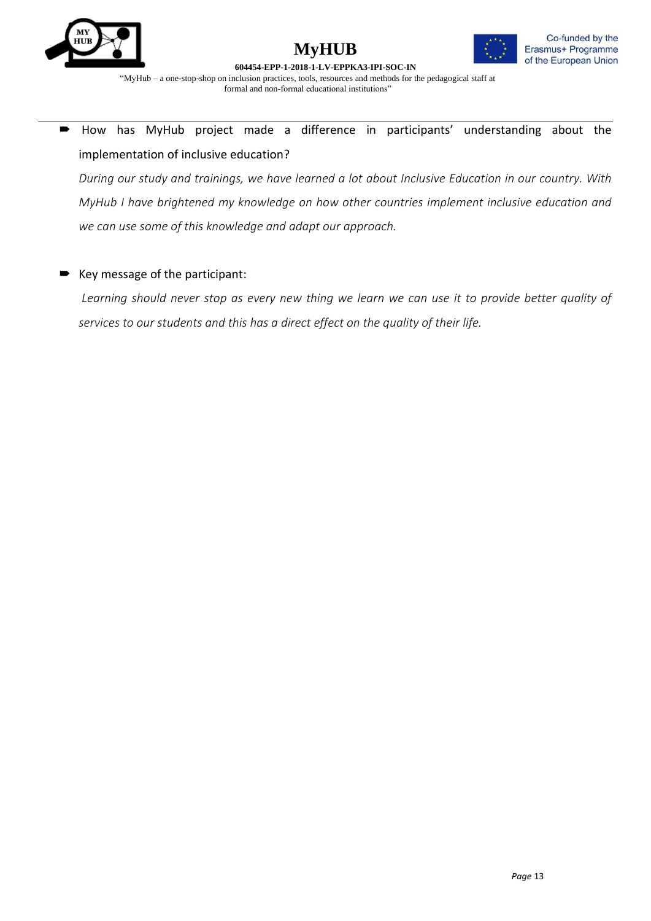





 How has MyHub project made a difference in participants' understanding about the implementation of inclusive education?

*During our study and trainings, we have learned a lot about Inclusive Education in our country. With MyHub I have brightened my knowledge on how other countries implement inclusive education and we can use some of this knowledge and adapt our approach.*

## Key message of the participant:

*Learning should never stop as every new thing we learn we can use it to provide better quality of services to our students and this has a direct effect on the quality of their life.*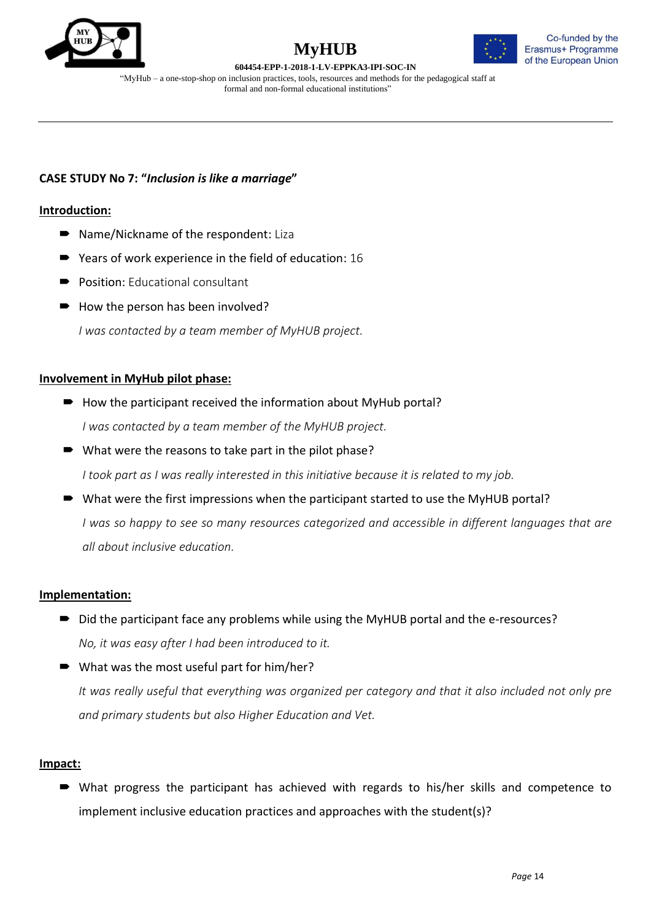





"MyHub – a one-stop-shop on inclusion practices, tools, resources and methods for the pedagogical staff at formal and non-formal educational institutions"

## **CASE STUDY No 7: "***Inclusion is like a marriage***"**

#### **Introduction:**

- Name/Nickname of the respondent: Liza
- Years of work experience in the field of education: 16
- Position: Educational consultant
- $\rightarrow$  How the person has been involved?

*I was contacted by a team member of MyHUB project.*

#### **Involvement in MyHub pilot phase:**

- $\rightarrow$  How the participant received the information about MyHub portal? *I was contacted by a team member of the MyHUB project.*
- What were the reasons to take part in the pilot phase? *I took part as I was really interested in this initiative because it is related to my job.*
- What were the first impressions when the participant started to use the MyHUB portal? *I was so happy to see so many resources categorized and accessible in different languages that are all about inclusive education.*

## **Implementation:**

■ Did the participant face any problems while using the MyHUB portal and the e-resources? *No, it was easy after I had been introduced to it.*

■ What was the most useful part for him/her? *It was really useful that everything was organized per category and that it also included not only pre and primary students but also Higher Education and Vet.* 

## **Impact:**

 What progress the participant has achieved with regards to his/her skills and competence to implement inclusive education practices and approaches with the student(s)?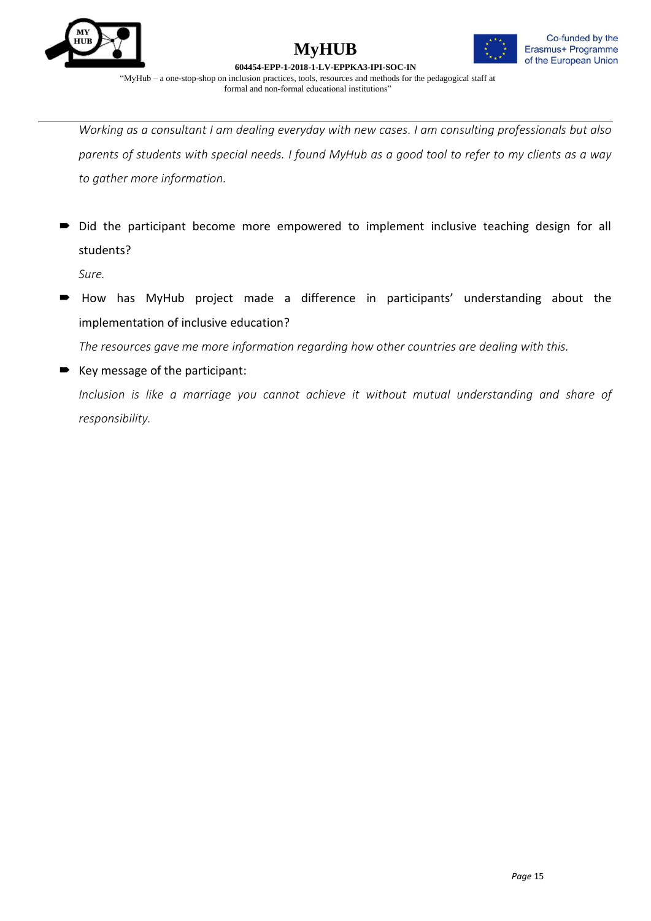





*Working as a consultant I am dealing everyday with new cases. I am consulting professionals but also parents of students with special needs. I found MyHub as a good tool to refer to my clients as a way to gather more information.*

Did the participant become more empowered to implement inclusive teaching design for all students?

*Sure.*

 How has MyHub project made a difference in participants' understanding about the implementation of inclusive education?

*The resources gave me more information regarding how other countries are dealing with this.*

 Key message of the participant: *Inclusion is like a marriage you cannot achieve it without mutual understanding and share of responsibility.*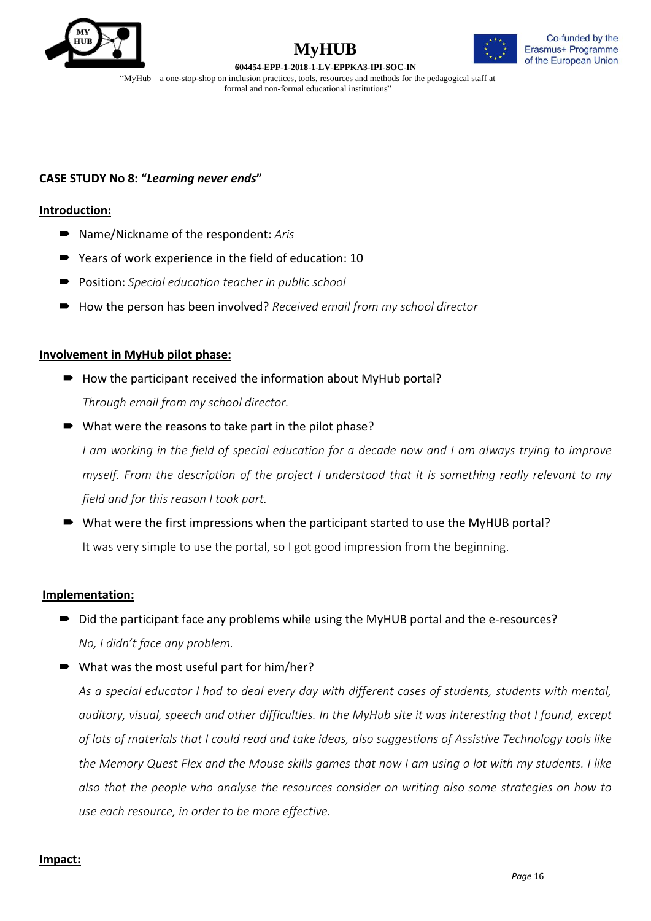





"MyHub – a one-stop-shop on inclusion practices, tools, resources and methods for the pedagogical staff at formal and non-formal educational institutions"

## **CASE STUDY No 8: "***Learning never ends***"**

#### **Introduction:**

- Name/Nickname of the respondent: Aris
- Years of work experience in the field of education: 10
- Position: *Special education teacher in public school*
- How the person has been involved? *Received email from my school director*

#### **Involvement in MyHub pilot phase:**

- $\rightarrow$  How the participant received the information about MyHub portal? *Through email from my school director.*
- What were the reasons to take part in the pilot phase?

*I am working in the field of special education for a decade now and I am always trying to improve myself. From the description of the project I understood that it is something really relevant to my field and for this reason I took part.*

■ What were the first impressions when the participant started to use the MyHUB portal? It was very simple to use the portal, so I got good impression from the beginning.

#### **Implementation:**

- Did the participant face any problems while using the MyHUB portal and the e-resources? *No, I didn't face any problem.*
- What was the most useful part for him/her?

*As a special educator I had to deal every day with different cases of students, students with mental, auditory, visual, speech and other difficulties. In the MyHub site it was interesting that I found, except of lots of materials that I could read and take ideas, also suggestions of Assistive Technology tools like the Memory Quest Flex and the Mouse skills games that now I am using a lot with my students. I like also that the people who analyse the resources consider on writing also some strategies on how to use each resource, in order to be more effective.*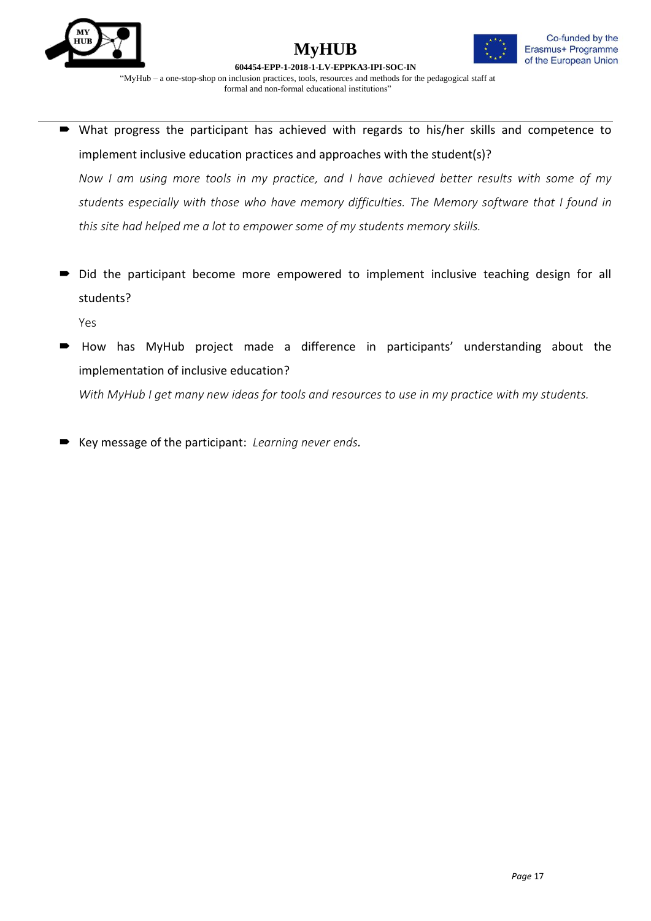





 What progress the participant has achieved with regards to his/her skills and competence to implement inclusive education practices and approaches with the student(s)?

*Now I am using more tools in my practice, and I have achieved better results with some of my students especially with those who have memory difficulties. The Memory software that I found in this site had helped me a lot to empower some of my students memory skills.*

 $\blacksquare$  Did the participant become more empowered to implement inclusive teaching design for all students?

Yes

 How has MyHub project made a difference in participants' understanding about the implementation of inclusive education?

*With MyHub I get many new ideas for tools and resources to use in my practice with my students.*

Key message of the participant: *Learning never ends.*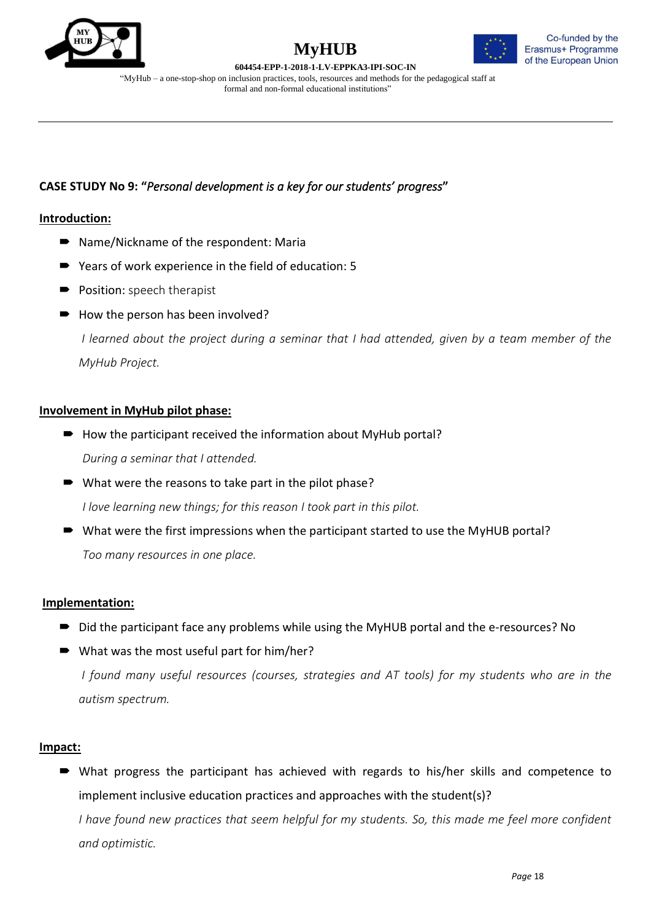





"MyHub – a one-stop-shop on inclusion practices, tools, resources and methods for the pedagogical staff at formal and non-formal educational institutions"

## **CASE STUDY No 9: "***Personal development is a key for our students' progress***"**

## **Introduction:**

- Name/Nickname of the respondent: Maria
- Years of work experience in the field of education: 5
- **Position:** speech therapist
- $\rightarrow$  How the person has been involved?

*I learned about the project during a seminar that I had attended, given by a team member of the MyHub Project.*

## **Involvement in MyHub pilot phase:**

- $\rightarrow$  How the participant received the information about MyHub portal? *During a seminar that I attended.*
- What were the reasons to take part in the pilot phase? *I love learning new things; for this reason I took part in this pilot.*
- What were the first impressions when the participant started to use the MyHUB portal? *Too many resources in one place.*

## **Implementation:**

- Did the participant face any problems while using the MyHUB portal and the e-resources? No
- What was the most useful part for him/her?

*I found many useful resources (courses, strategies and AT tools) for my students who are in the autism spectrum.*

## **Impact:**

 What progress the participant has achieved with regards to his/her skills and competence to implement inclusive education practices and approaches with the student(s)? *I have found new practices that seem helpful for my students. So, this made me feel more confident and optimistic.*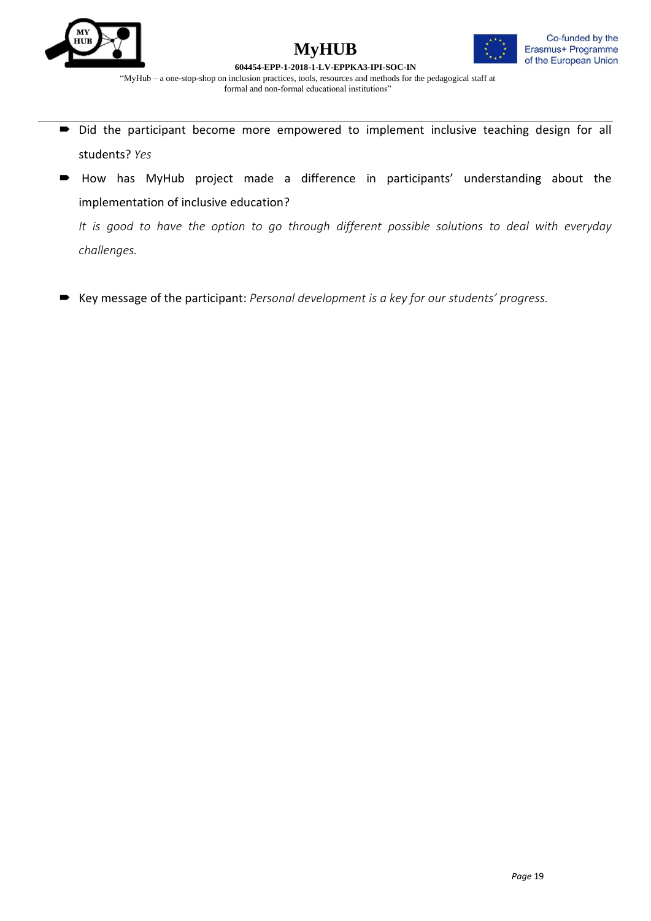





"MyHub – a one-stop-shop on inclusion practices, tools, resources and methods for the pedagogical staff at formal and non-formal educational institutions"

- $\blacksquare$  Did the participant become more empowered to implement inclusive teaching design for all students? *Yes*
- How has MyHub project made a difference in participants' understanding about the implementation of inclusive education?

*It is good to have the option to go through different possible solutions to deal with everyday challenges.*

Key message of the participant: *Personal development is a key for our students' progress.*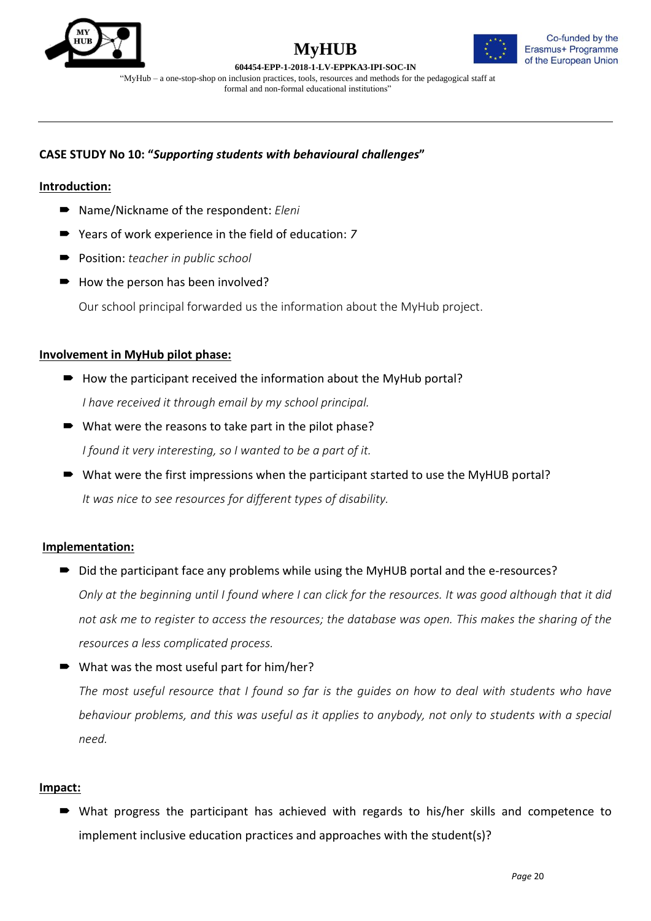



**604454-EPP-1-2018-1-LV-EPPKA3-IPI-SOC-IN** "MyHub – a one-stop-shop on inclusion practices, tools, resources and methods for the pedagogical staff at formal and non-formal educational institutions"

## **CASE STUDY No 10: "***Supporting students with behavioural challenges***"**

## **Introduction:**

- Name/Nickname of the respondent: *Eleni*
- Years of work experience in the field of education: 7
- Position: *teacher in public school*
- $\rightarrow$  How the person has been involved?

Our school principal forwarded us the information about the MyHub project.

#### **Involvement in MyHub pilot phase:**

- $\rightarrow$  How the participant received the information about the MyHub portal? *I have received it through email by my school principal.*
- What were the reasons to take part in the pilot phase? *I found it very interesting, so I wanted to be a part of it.*
- What were the first impressions when the participant started to use the MyHUB portal? *It was nice to see resources for different types of disability.*

## **Implementation:**

- Did the participant face any problems while using the MyHUB portal and the e-resources? *Only at the beginning until I found where I can click for the resources. It was good although that it did not ask me to register to access the resources; the database was open. This makes the sharing of the resources a less complicated process.*
- What was the most useful part for him/her?

*The most useful resource that I found so far is the guides on how to deal with students who have behaviour problems, and this was useful as it applies to anybody, not only to students with a special need.*

## **Impact:**

 What progress the participant has achieved with regards to his/her skills and competence to implement inclusive education practices and approaches with the student(s)?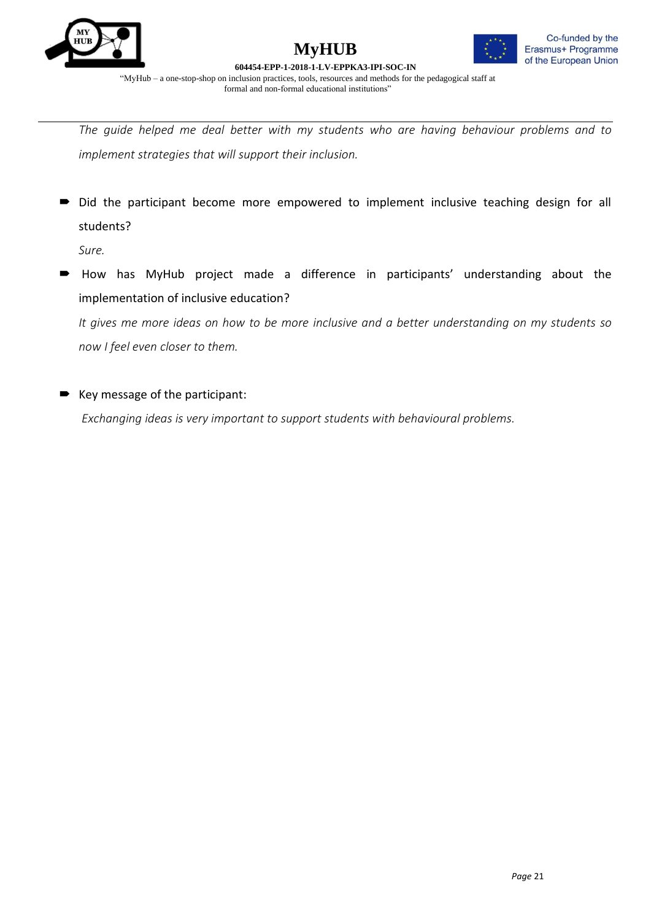





*The guide helped me deal better with my students who are having behaviour problems and to implement strategies that will support their inclusion.*

Did the participant become more empowered to implement inclusive teaching design for all students?

*Sure.*

 How has MyHub project made a difference in participants' understanding about the implementation of inclusive education?

*It gives me more ideas on how to be more inclusive and a better understanding on my students so now I feel even closer to them.*

■ Key message of the participant:

*Exchanging ideas is very important to support students with behavioural problems.*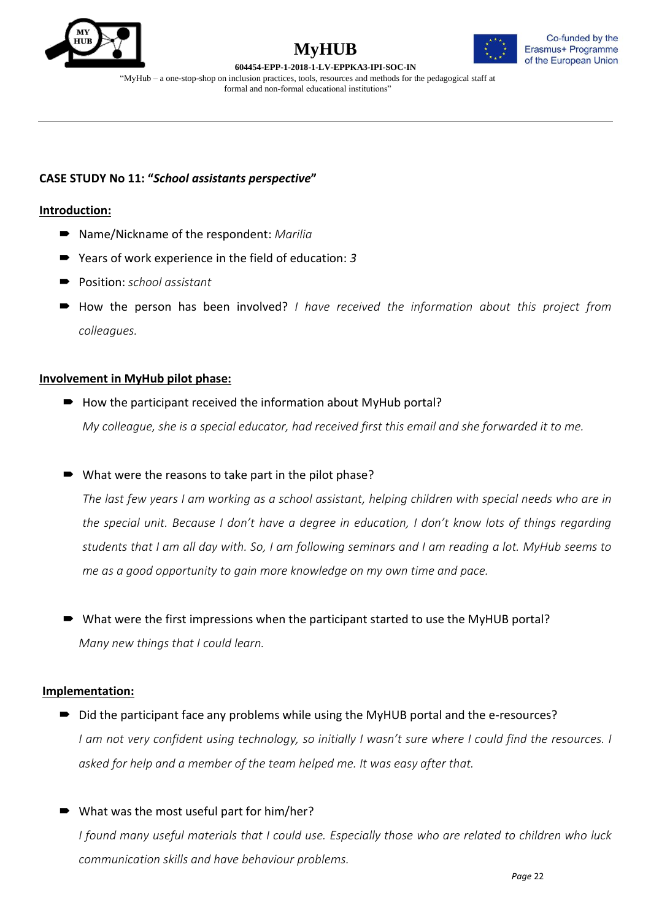





"MyHub – a one-stop-shop on inclusion practices, tools, resources and methods for the pedagogical staff at formal and non-formal educational institutions"

## **CASE STUDY No 11: "***School assistants perspective***"**

## **Introduction:**

- Name/Nickname of the respondent: *Marilia*
- Years of work experience in the field of education: *3*
- Position: *school assistant*
- How the person has been involved? *I have received the information about this project from colleagues.*

## **Involvement in MyHub pilot phase:**

- $\rightarrow$  How the participant received the information about MyHub portal? *My colleague, she is a special educator, had received first this email and she forwarded it to me.*
- What were the reasons to take part in the pilot phase?

*The last few years I am working as a school assistant, helping children with special needs who are in the special unit. Because I don't have a degree in education, I don't know lots of things regarding students that I am all day with. So, I am following seminars and I am reading a lot. MyHub seems to me as a good opportunity to gain more knowledge on my own time and pace.*

■ What were the first impressions when the participant started to use the MyHUB portal? *Many new things that I could learn.*

## **Implementation:**

- Did the participant face any problems while using the MyHUB portal and the e-resources? *I am not very confident using technology, so initially I wasn't sure where I could find the resources. I asked for help and a member of the team helped me. It was easy after that.*
- What was the most useful part for him/her?

*I found many useful materials that I could use. Especially those who are related to children who luck communication skills and have behaviour problems.*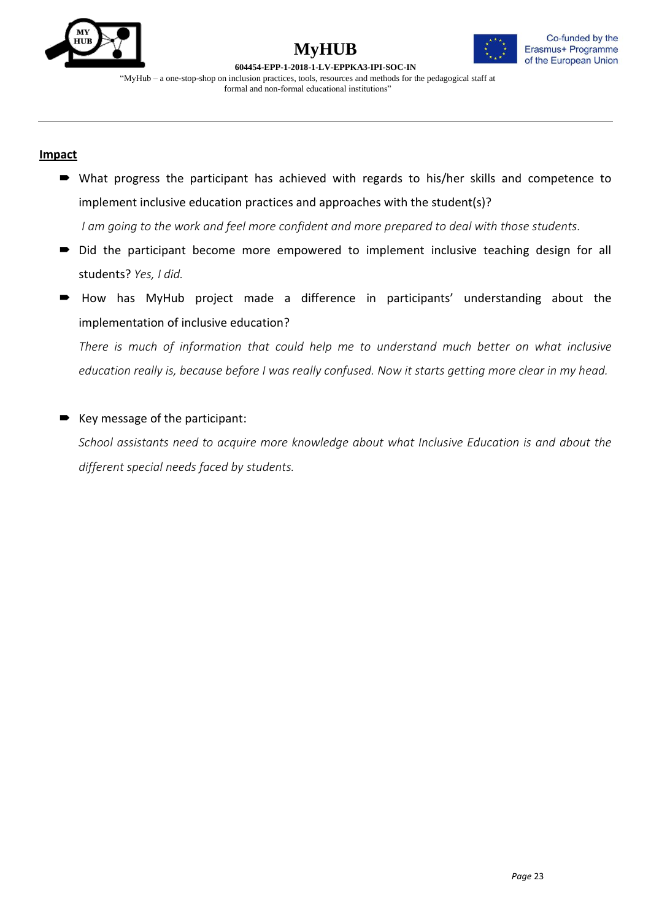

## **MyHUB 604454-EPP-1-2018-1-LV-EPPKA3-IPI-SOC-IN**



"MyHub – a one-stop-shop on inclusion practices, tools, resources and methods for the pedagogical staff at formal and non-formal educational institutions"

## **Impact**

 What progress the participant has achieved with regards to his/her skills and competence to implement inclusive education practices and approaches with the student(s)?

*I am going to the work and feel more confident and more prepared to deal with those students.*

- Did the participant become more empowered to implement inclusive teaching design for all students? *Yes, I did.*
- How has MyHub project made a difference in participants' understanding about the implementation of inclusive education?

*There is much of information that could help me to understand much better on what inclusive education really is, because before I was really confused. Now it starts getting more clear in my head.*

## Key message of the participant:

*School assistants need to acquire more knowledge about what Inclusive Education is and about the different special needs faced by students.*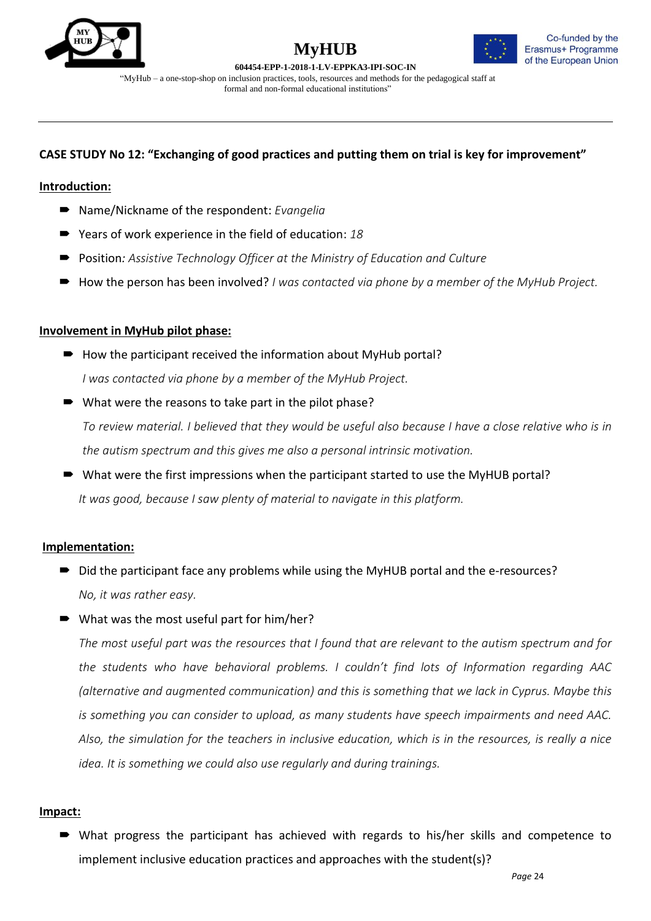



**604454-EPP-1-2018-1-LV-EPPKA3-IPI-SOC-IN** "MyHub – a one-stop-shop on inclusion practices, tools, resources and methods for the pedagogical staff at formal and non-formal educational institutions"

## **CASE STUDY No 12: "Exchanging of good practices and putting them on trial is key for improvement"**

#### **Introduction:**

- Name/Nickname of the respondent: *Evangelia*
- Years of work experience in the field of education: 18
- Position*: Assistive Technology Officer at the Ministry of Education and Culture*
- How the person has been involved? *I was contacted via phone by a member of the MyHub Project.*

#### **Involvement in MyHub pilot phase:**

- $\blacksquare$  How the participant received the information about MyHub portal? *I was contacted via phone by a member of the MyHub Project.*
- What were the reasons to take part in the pilot phase? *To review material. I believed that they would be useful also because I have a close relative who is in the autism spectrum and this gives me also a personal intrinsic motivation.*
- What were the first impressions when the participant started to use the MyHUB portal? *It was good, because I saw plenty of material to navigate in this platform.*

#### **Implementation:**

- Did the participant face any problems while using the MyHUB portal and the e-resources? *No, it was rather easy.*
- What was the most useful part for him/her?

*The most useful part was the resources that I found that are relevant to the autism spectrum and for the students who have behavioral problems. I couldn't find lots of Information regarding AAC (alternative and augmented communication) and this is something that we lack in Cyprus. Maybe this is something you can consider to upload, as many students have speech impairments and need AAC. Also, the simulation for the teachers in inclusive education, which is in the resources, is really a nice idea. It is something we could also use regularly and during trainings.*

#### **Impact:**

 What progress the participant has achieved with regards to his/her skills and competence to implement inclusive education practices and approaches with the student(s)?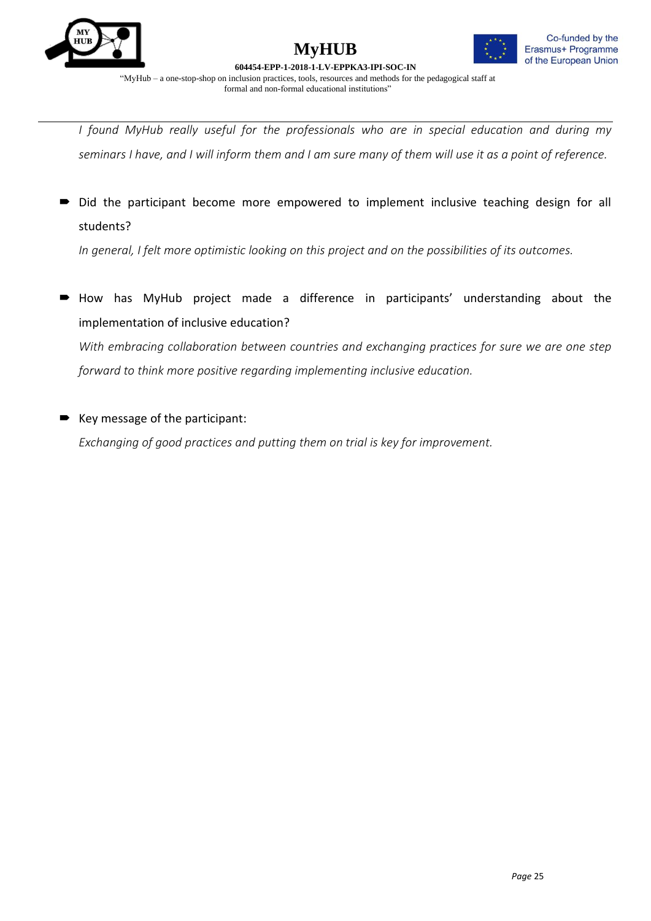



*I found MyHub really useful for the professionals who are in special education and during my seminars I have, and I will inform them and I am sure many of them will use it as a point of reference.*

Did the participant become more empowered to implement inclusive teaching design for all students?

*In general, I felt more optimistic looking on this project and on the possibilities of its outcomes.*

 How has MyHub project made a difference in participants' understanding about the implementation of inclusive education?

*With embracing collaboration between countries and exchanging practices for sure we are one step forward to think more positive regarding implementing inclusive education.*

## Key message of the participant:

*Exchanging of good practices and putting them on trial is key for improvement.*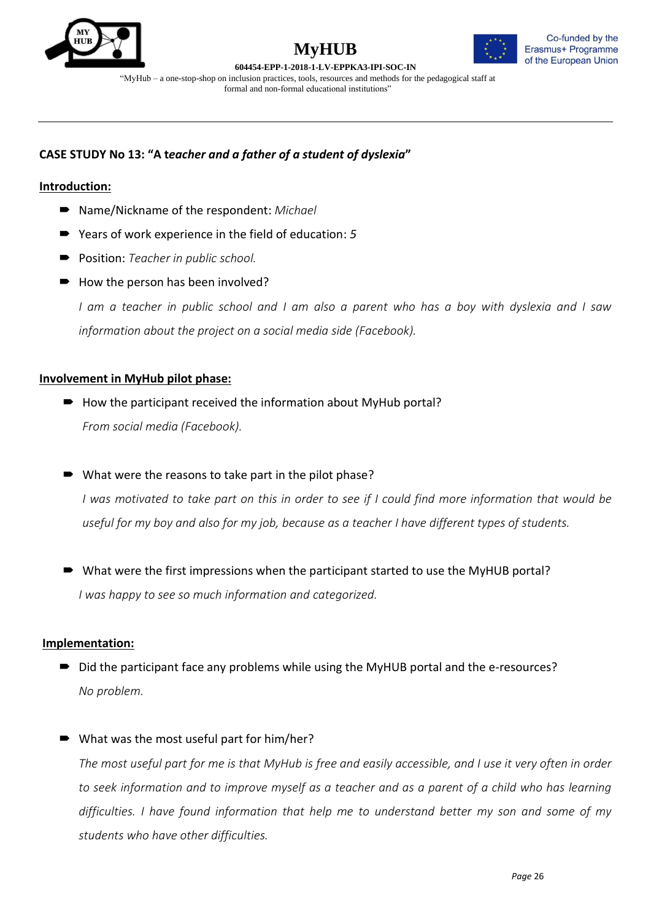



**604454-EPP-1-2018-1-LV-EPPKA3-IPI-SOC-IN** "MyHub – a one-stop-shop on inclusion practices, tools, resources and methods for the pedagogical staff at formal and non-formal educational institutions"

## **CASE STUDY No 13: "A t***eacher and a father of a student of dyslexia***"**

## **Introduction:**

- Name/Nickname of the respondent: *Michael*
- Years of work experience in the field of education: 5
- **Position:** *Teacher in public school.*
- $\rightarrow$  How the person has been involved?

*I am a teacher in public school and I am also a parent who has a boy with dyslexia and I saw information about the project on a social media side (Facebook).*

## **Involvement in MyHub pilot phase:**

- $\rightarrow$  How the participant received the information about MyHub portal? *From social media (Facebook).*
- What were the reasons to take part in the pilot phase?

*I was motivated to take part on this in order to see if I could find more information that would be useful for my boy and also for my job, because as a teacher I have different types of students.*

 What were the first impressions when the participant started to use the MyHUB portal? *I was happy to see so much information and categorized.*

## **Implementation:**

- Did the participant face any problems while using the MyHUB portal and the e-resources? *No problem.*
- What was the most useful part for him/her?

*The most useful part for me is that MyHub is free and easily accessible, and I use it very often in order to seek information and to improve myself as a teacher and as a parent of a child who has learning difficulties. I have found information that help me to understand better my son and some of my students who have other difficulties.*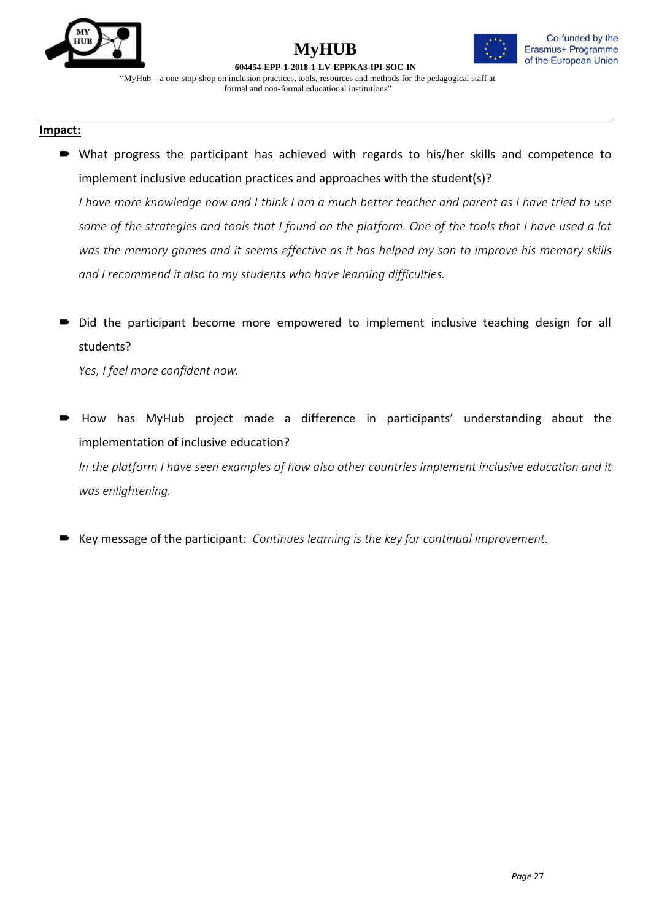

## **MyHUB 604454-EPP-1-2018-1-LV-EPPKA3-IPI-SOC-IN**



"MyHub – a one-stop-shop on inclusion practices, tools, resources and methods for the pedagogical staff at formal and non-formal educational institutions"

#### **Impact:**

 What progress the participant has achieved with regards to his/her skills and competence to implement inclusive education practices and approaches with the student(s)?

*I have more knowledge now and I think I am a much better teacher and parent as I have tried to use some of the strategies and tools that I found on the platform. One of the tools that I have used a lot was the memory games and it seems effective as it has helped my son to improve his memory skills and I recommend it also to my students who have learning difficulties.*

 Did the participant become more empowered to implement inclusive teaching design for all students?

*Yes, I feel more confident now.*

- How has MyHub project made a difference in participants' understanding about the implementation of inclusive education? *In the platform I have seen examples of how also other countries implement inclusive education and it was enlightening.*
- Key message of the participant: *Continues learning is the key for continual improvement.*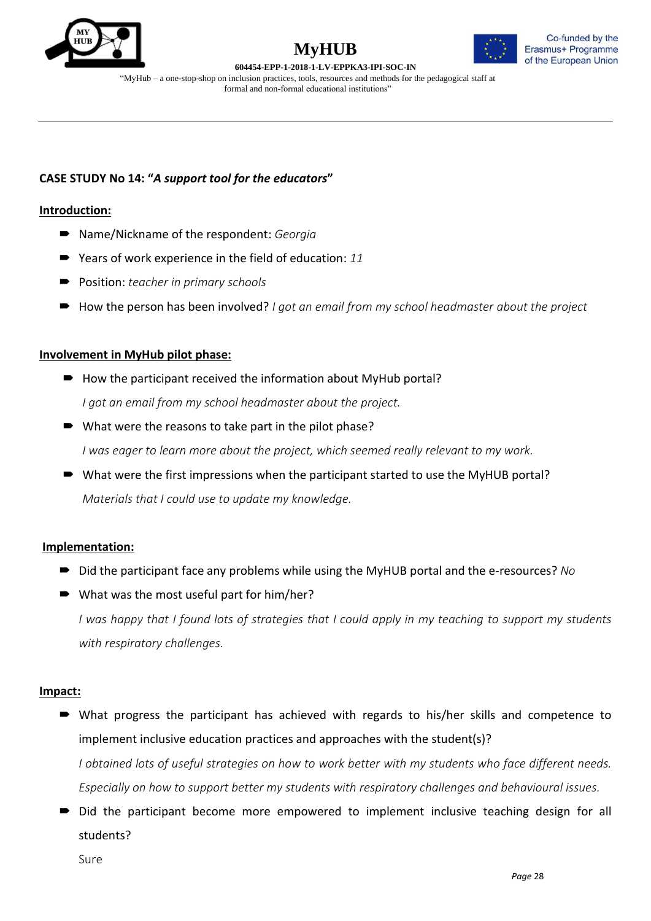





"MyHub – a one-stop-shop on inclusion practices, tools, resources and methods for the pedagogical staff at formal and non-formal educational institutions"

## **CASE STUDY No 14: "***A support tool for the educators***"**

#### **Introduction:**

- Name/Nickname of the respondent: *Georgia*
- Years of work experience in the field of education: 11
- Position: *teacher in primary schools*
- How the person has been involved? *I got an email from my school headmaster about the project*

#### **Involvement in MyHub pilot phase:**

- $\rightarrow$  How the participant received the information about MyHub portal? *I got an email from my school headmaster about the project.*
- What were the reasons to take part in the pilot phase?

*I was eager to learn more about the project, which seemed really relevant to my work.*

■ What were the first impressions when the participant started to use the MyHUB portal? *Materials that I could use to update my knowledge.*

## **Implementation:**

- Did the participant face any problems while using the MyHUB portal and the e-resources? *No*
- What was the most useful part for him/her? *I was happy that I found lots of strategies that I could apply in my teaching to support my students with respiratory challenges.*

#### **Impact:**

- What progress the participant has achieved with regards to his/her skills and competence to implement inclusive education practices and approaches with the student(s)? *I obtained lots of useful strategies on how to work better with my students who face different needs. Especially on how to support better my students with respiratory challenges and behavioural issues.*
- Did the participant become more empowered to implement inclusive teaching design for all students?

Sure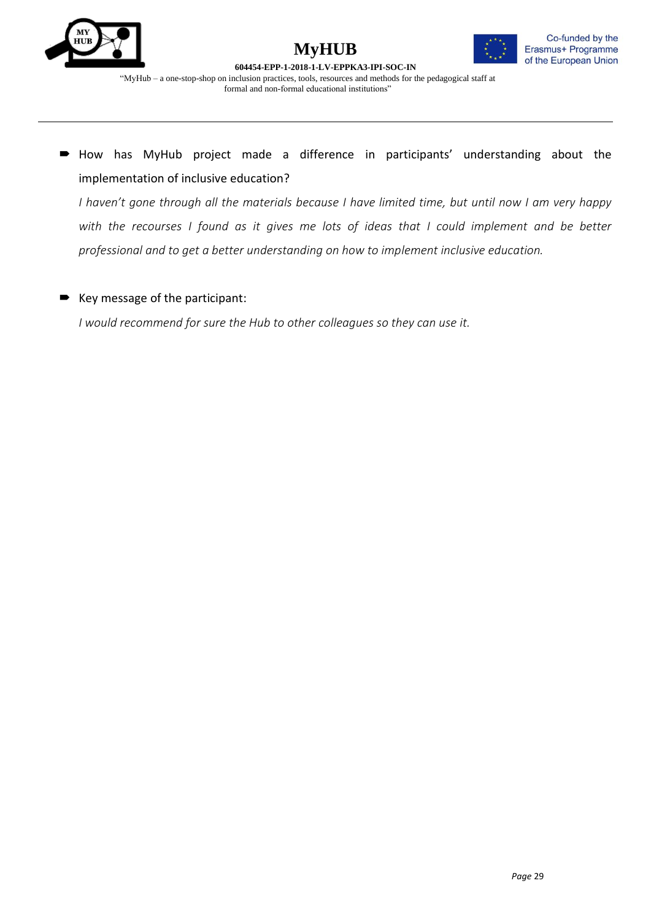



 How has MyHub project made a difference in participants' understanding about the implementation of inclusive education?

*I haven't gone through all the materials because I have limited time, but until now I am very happy with the recourses I found as it gives me lots of ideas that I could implement and be better professional and to get a better understanding on how to implement inclusive education.*

## Key message of the participant:

*I would recommend for sure the Hub to other colleagues so they can use it.*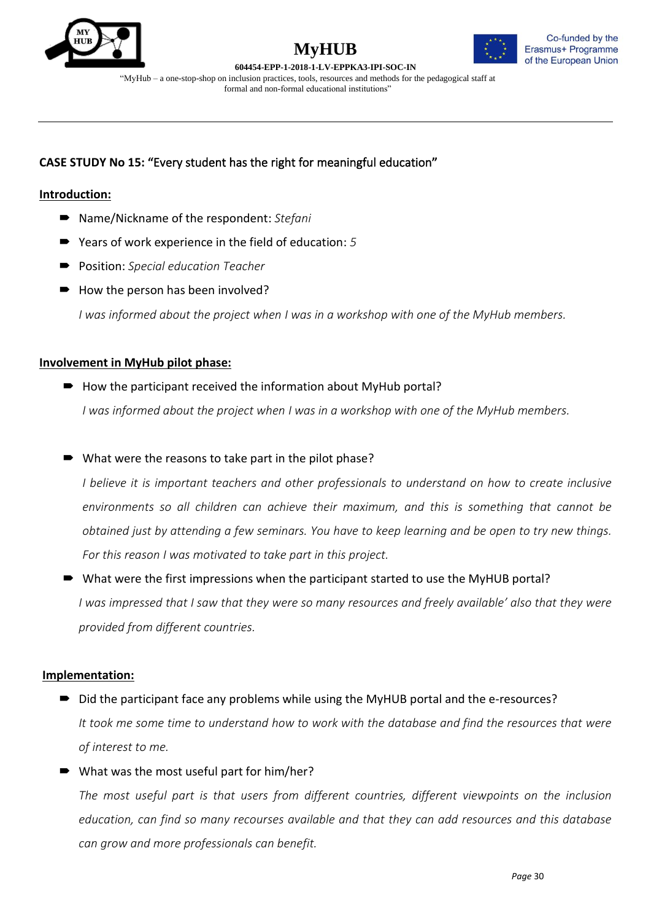





## **CASE STUDY No 15: "**Every student has the right for meaningful education**"**

## **Introduction:**

- Name/Nickname of the respondent: Stefani
- Years of work experience in the field of education: 5
- Position: *Special education Teacher*
- How the person has been involved?

*I was informed about the project when I was in a workshop with one of the MyHub members.*

## **Involvement in MyHub pilot phase:**

- $\blacksquare$  How the participant received the information about MyHub portal? *I was informed about the project when I was in a workshop with one of the MyHub members.*
- What were the reasons to take part in the pilot phase?

*I believe it is important teachers and other professionals to understand on how to create inclusive environments so all children can achieve their maximum, and this is something that cannot be obtained just by attending a few seminars. You have to keep learning and be open to try new things. For this reason I was motivated to take part in this project.*

# What were the first impressions when the participant started to use the MyHUB portal?

*I was impressed that I saw that they were so many resources and freely available' also that they were provided from different countries.*

## **Implementation:**

■ Did the participant face any problems while using the MyHUB portal and the e-resources? *It took me some time to understand how to work with the database and find the resources that were of interest to me.*

## ■ What was the most useful part for him/her?

*The most useful part is that users from different countries, different viewpoints on the inclusion education, can find so many recourses available and that they can add resources and this database can grow and more professionals can benefit.*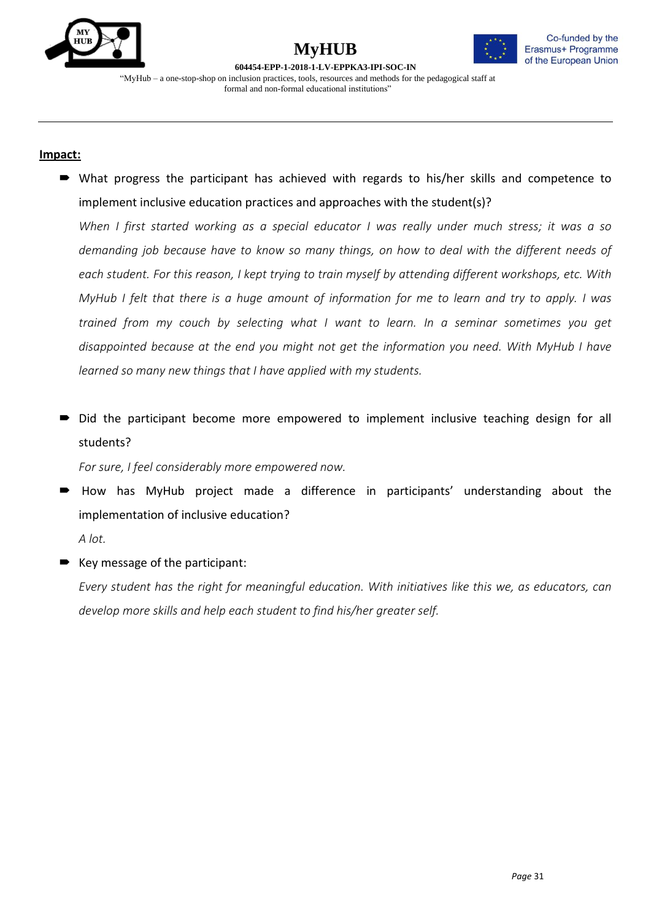

## **MyHUB 604454-EPP-1-2018-1-LV-EPPKA3-IPI-SOC-IN**



"MyHub – a one-stop-shop on inclusion practices, tools, resources and methods for the pedagogical staff at formal and non-formal educational institutions"

## **Impact:**

 What progress the participant has achieved with regards to his/her skills and competence to implement inclusive education practices and approaches with the student(s)?

*When I first started working as a special educator I was really under much stress; it was a so demanding job because have to know so many things, on how to deal with the different needs of each student. For this reason, I kept trying to train myself by attending different workshops, etc. With MyHub I felt that there is a huge amount of information for me to learn and try to apply. I was trained from my couch by selecting what I want to learn. In a seminar sometimes you get disappointed because at the end you might not get the information you need. With MyHub I have learned so many new things that I have applied with my students.*

 Did the participant become more empowered to implement inclusive teaching design for all students?

*For sure, I feel considerably more empowered now.*

 How has MyHub project made a difference in participants' understanding about the implementation of inclusive education? *A lot.*

■ Key message of the participant:

*Every student has the right for meaningful education. With initiatives like this we, as educators, can develop more skills and help each student to find his/her greater self.*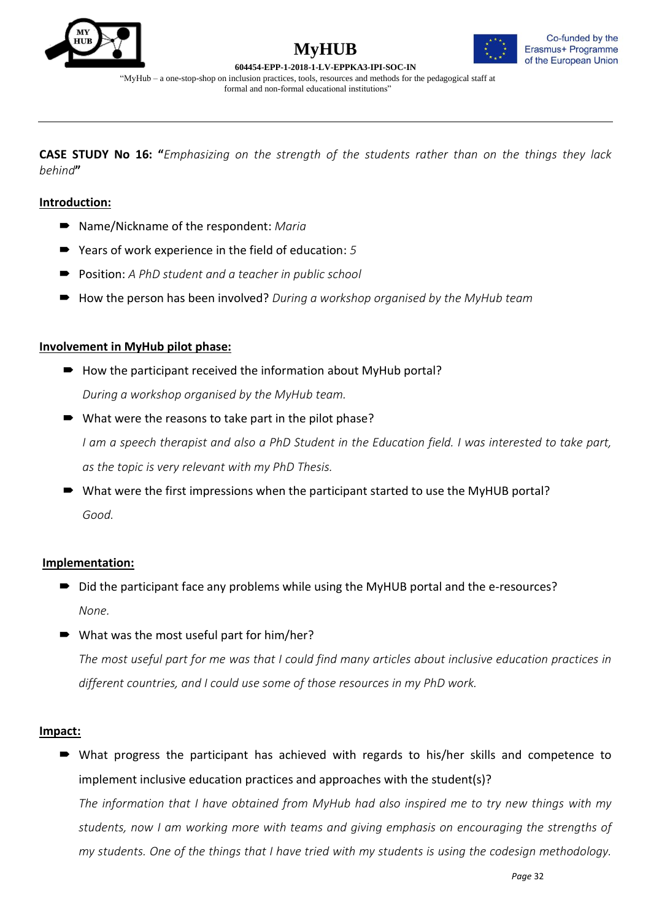



**604454-EPP-1-2018-1-LV-EPPKA3-IPI-SOC-IN** "MyHub – a one-stop-shop on inclusion practices, tools, resources and methods for the pedagogical staff at formal and non-formal educational institutions"

**CASE STUDY No 16: "***Emphasizing on the strength of the students rather than on the things they lack behind***"**

## **Introduction:**

- Name/Nickname of the respondent: *Maria*
- Years of work experience in the field of education: 5
- **Position:** *A PhD student and a teacher in public school*
- How the person has been involved? *During a workshop organised by the MyHub team*

## **Involvement in MyHub pilot phase:**

- $\rightarrow$  How the participant received the information about MyHub portal? *During a workshop organised by the MyHub team.*
- What were the reasons to take part in the pilot phase?

*I am a speech therapist and also a PhD Student in the Education field. I was interested to take part, as the topic is very relevant with my PhD Thesis.*

■ What were the first impressions when the participant started to use the MyHUB portal? *Good.*

## **Implementation:**

- Did the participant face any problems while using the MyHUB portal and the e-resources? *None.*
- What was the most useful part for him/her?

*The most useful part for me was that I could find many articles about inclusive education practices in different countries, and I could use some of those resources in my PhD work.* 

## **Impact:**

 What progress the participant has achieved with regards to his/her skills and competence to implement inclusive education practices and approaches with the student(s)?

*The information that I have obtained from MyHub had also inspired me to try new things with my students, now I am working more with teams and giving emphasis on encouraging the strengths of my students. One of the things that I have tried with my students is using the codesign methodology.*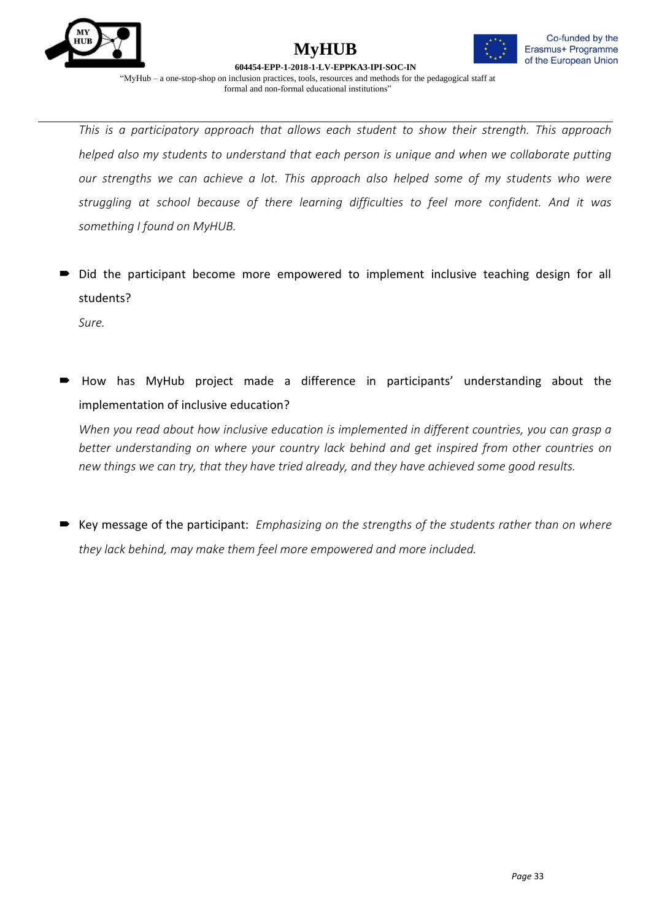



*This is a participatory approach that allows each student to show their strength. This approach helped also my students to understand that each person is unique and when we collaborate putting our strengths we can achieve a lot. This approach also helped some of my students who were struggling at school because of there learning difficulties to feel more confident. And it was something I found on MyHUB.*

 $\rightarrow$  Did the participant become more empowered to implement inclusive teaching design for all students?

*Sure.*

 How has MyHub project made a difference in participants' understanding about the implementation of inclusive education?

*When you read about how inclusive education is implemented in different countries, you can grasp a better understanding on where your country lack behind and get inspired from other countries on new things we can try, that they have tried already, and they have achieved some good results.* 

 Key message of the participant: *Emphasizing on the strengths of the students rather than on where they lack behind, may make them feel more empowered and more included.*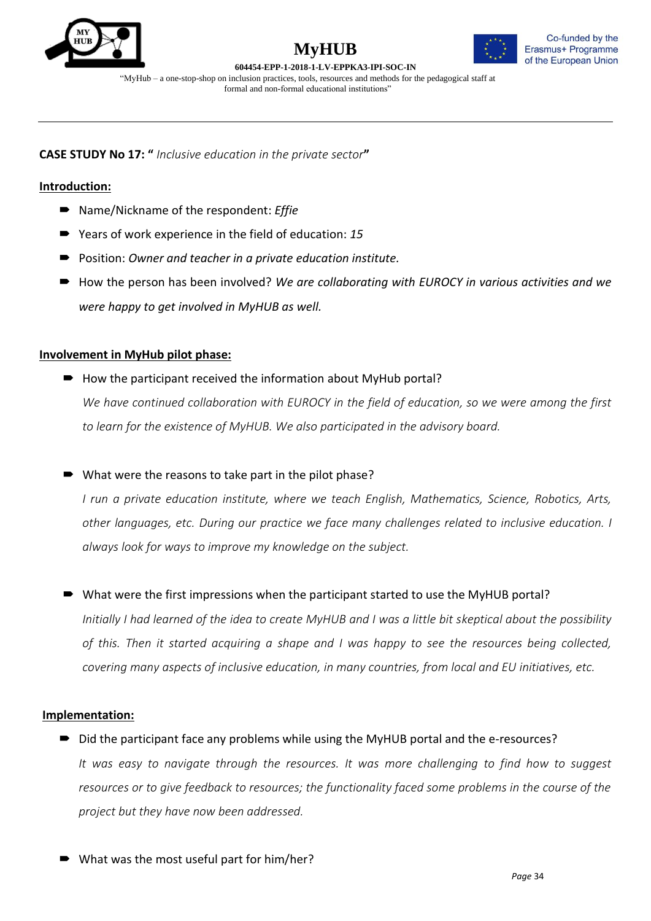





**CASE STUDY No 17: "** *Inclusive education in the private sector***"**

## **Introduction:**

- Name/Nickname of the respondent: *Effie*
- Years of work experience in the field of education: 15
- Position: *Owner and teacher in a private education institute*.
- How the person has been involved? We are collaborating with EUROCY in various activities and we *were happy to get involved in MyHUB as well.*

## **Involvement in MyHub pilot phase:**

 $\rightarrow$  How the participant received the information about MyHub portal? *We have continued collaboration with EUROCY in the field of education, so we were among the first to learn for the existence of MyHUB. We also participated in the advisory board.*

What were the reasons to take part in the pilot phase?

*I run a private education institute, where we teach English, Mathematics, Science, Robotics, Arts, other languages, etc. During our practice we face many challenges related to inclusive education. I always look for ways to improve my knowledge on the subject.*

What were the first impressions when the participant started to use the MyHUB portal?

*Initially I had learned of the idea to create MyHUB and I was a little bit skeptical about the possibility of this. Then it started acquiring a shape and I was happy to see the resources being collected, covering many aspects of inclusive education, in many countries, from local and EU initiatives, etc.*

## **Implementation:**

■ Did the participant face any problems while using the MyHUB portal and the e-resources? *It was easy to navigate through the resources. It was more challenging to find how to suggest resources or to give feedback to resources; the functionality faced some problems in the course of the project but they have now been addressed.*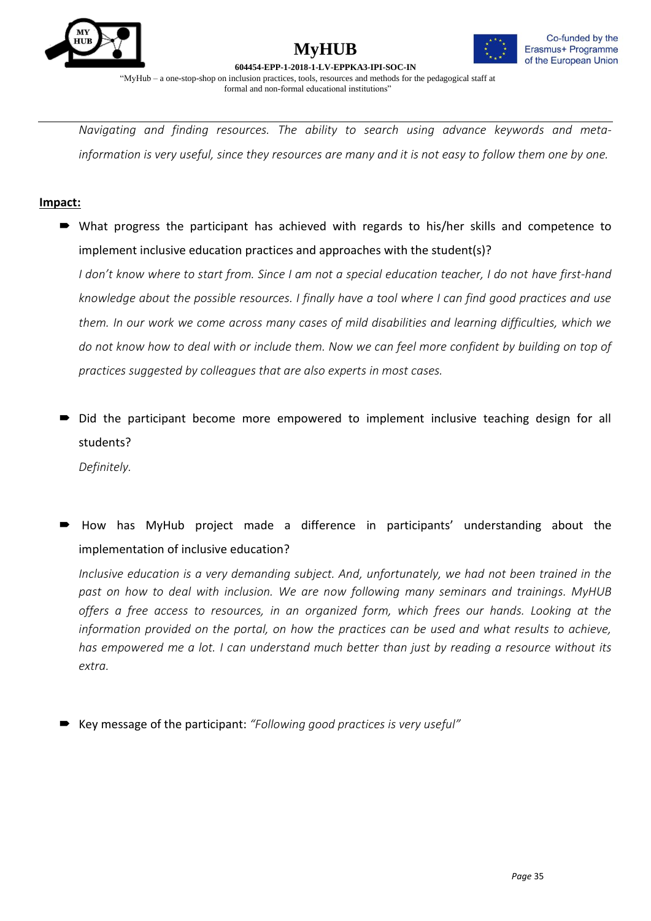



**604454-EPP-1-2018-1-LV-EPPKA3-IPI-SOC-IN** "MyHub – a one-stop-shop on inclusion practices, tools, resources and methods for the pedagogical staff at formal and non-formal educational institutions"

*Navigating and finding resources. The ability to search using advance keywords and metainformation is very useful, since they resources are many and it is not easy to follow them one by one.*

## **Impact:**

 What progress the participant has achieved with regards to his/her skills and competence to implement inclusive education practices and approaches with the student(s)?

*I don't know where to start from. Since I am not a special education teacher, I do not have first-hand knowledge about the possible resources. I finally have a tool where I can find good practices and use them. In our work we come across many cases of mild disabilities and learning difficulties, which we do not know how to deal with or include them. Now we can feel more confident by building on top of practices suggested by colleagues that are also experts in most cases.*

 Did the participant become more empowered to implement inclusive teaching design for all students?

*Definitely.*

 How has MyHub project made a difference in participants' understanding about the implementation of inclusive education?

*Inclusive education is a very demanding subject. And, unfortunately, we had not been trained in the past on how to deal with inclusion. We are now following many seminars and trainings. MyHUB offers a free access to resources, in an organized form, which frees our hands. Looking at the information provided on the portal, on how the practices can be used and what results to achieve, has empowered me a lot. I can understand much better than just by reading a resource without its extra.*

Key message of the participant: *"Following good practices is very useful"*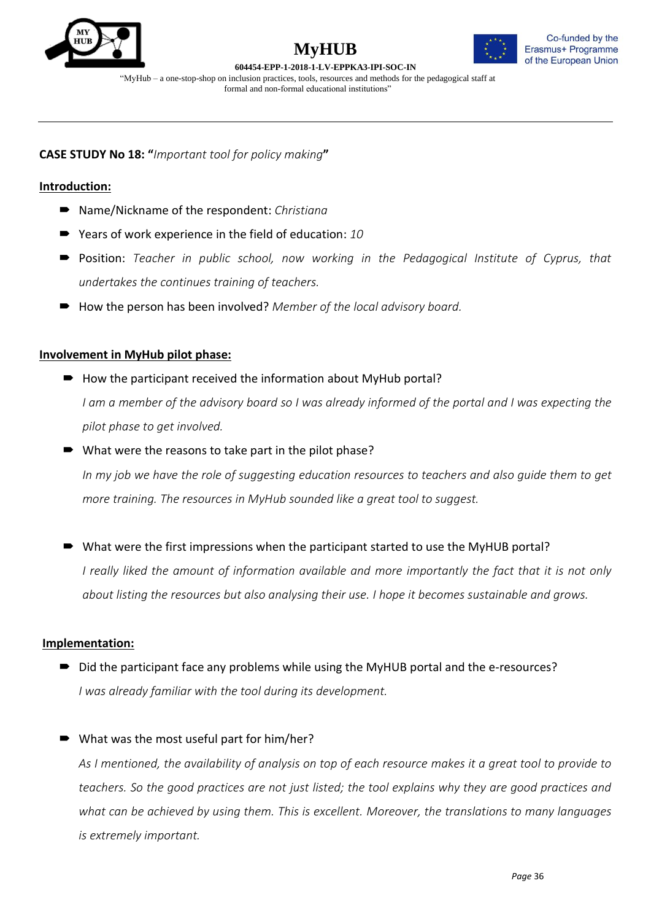





**CASE STUDY No 18: "***Important tool for policy making***"**

## **Introduction:**

- Name/Nickname of the respondent: *Christiana*
- Years of work experience in the field of education: 10
- Position: *Teacher in public school, now working in the Pedagogical Institute of Cyprus, that undertakes the continues training of teachers.*
- How the person has been involved? *Member of the local advisory board.*

## **Involvement in MyHub pilot phase:**

 $\rightarrow$  How the participant received the information about MyHub portal?

*I am a member of the advisory board so I was already informed of the portal and I was expecting the pilot phase to get involved.*

■ What were the reasons to take part in the pilot phase?

*In my job we have the role of suggesting education resources to teachers and also guide them to get more training. The resources in MyHub sounded like a great tool to suggest.*

■ What were the first impressions when the participant started to use the MyHUB portal?

*I really liked the amount of information available and more importantly the fact that it is not only about listing the resources but also analysing their use. I hope it becomes sustainable and grows.*

## **Implementation:**

■ Did the participant face any problems while using the MyHUB portal and the e-resources? *I was already familiar with the tool during its development.*

## What was the most useful part for him/her?

*As I mentioned, the availability of analysis on top of each resource makes it a great tool to provide to teachers. So the good practices are not just listed; the tool explains why they are good practices and what can be achieved by using them. This is excellent. Moreover, the translations to many languages is extremely important.*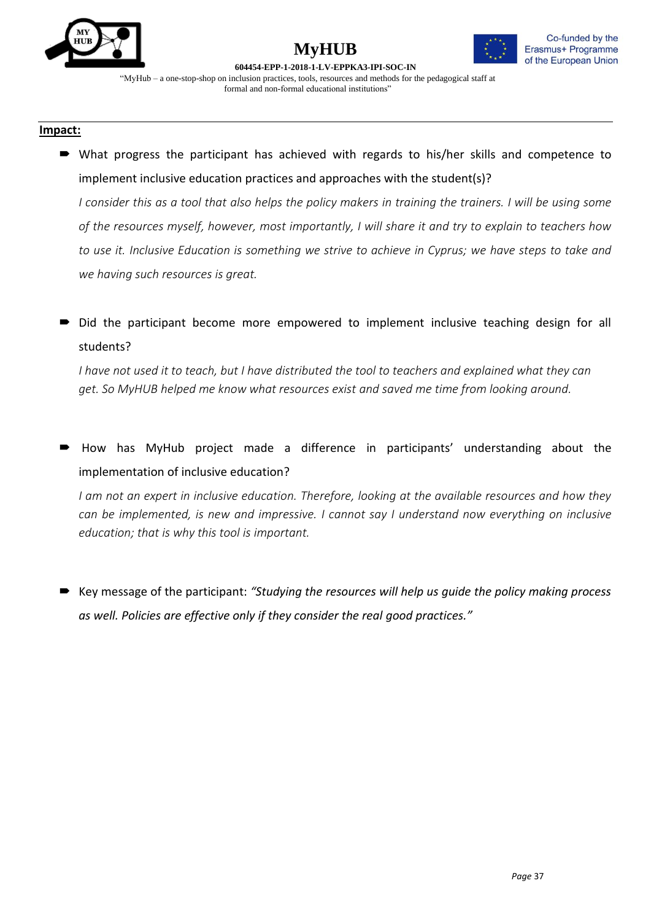

## **MyHUB 604454-EPP-1-2018-1-LV-EPPKA3-IPI-SOC-IN**



"MyHub – a one-stop-shop on inclusion practices, tools, resources and methods for the pedagogical staff at formal and non-formal educational institutions"

#### **Impact:**

 What progress the participant has achieved with regards to his/her skills and competence to implement inclusive education practices and approaches with the student(s)?

*I consider this as a tool that also helps the policy makers in training the trainers. I will be using some of the resources myself, however, most importantly, I will share it and try to explain to teachers how to use it. Inclusive Education is something we strive to achieve in Cyprus; we have steps to take and we having such resources is great.*

 Did the participant become more empowered to implement inclusive teaching design for all students?

*I have not used it to teach, but I have distributed the tool to teachers and explained what they can get. So MyHUB helped me know what resources exist and saved me time from looking around.*

 How has MyHub project made a difference in participants' understanding about the implementation of inclusive education?

*I am not an expert in inclusive education. Therefore, looking at the available resources and how they can be implemented, is new and impressive. I cannot say I understand now everything on inclusive education; that is why this tool is important.* 

 Key message of the participant: *"Studying the resources will help us guide the policy making process as well. Policies are effective only if they consider the real good practices."*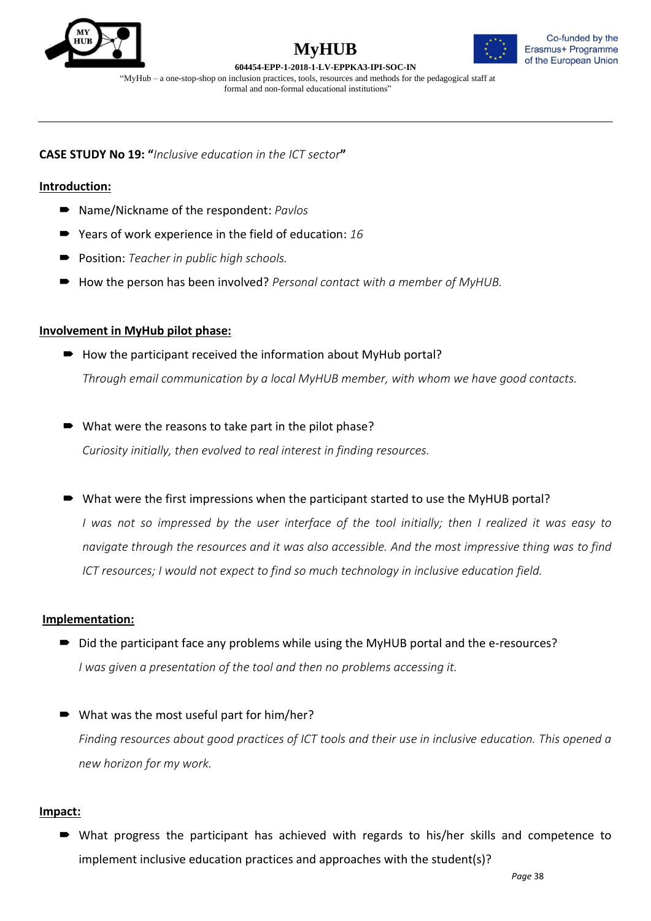





**CASE STUDY No 19: "***Inclusive education in the ICT sector***"**

## **Introduction:**

- Name/Nickname of the respondent: *Pavlos*
- Years of work experience in the field of education: 16
- **Position:** *Teacher in public high schools.*
- How the person has been involved? *Personal contact with a member of MyHUB*.

## **Involvement in MyHub pilot phase:**

- $\blacksquare$  How the participant received the information about MyHub portal? *Through email communication by a local MyHUB member, with whom we have good contacts.*
- What were the reasons to take part in the pilot phase?

*Curiosity initially, then evolved to real interest in finding resources.*

■ What were the first impressions when the participant started to use the MyHUB portal?

*I was not so impressed by the user interface of the tool initially; then I realized it was easy to navigate through the resources and it was also accessible. And the most impressive thing was to find ICT resources; I would not expect to find so much technology in inclusive education field.*

## **Implementation:**

- Did the participant face any problems while using the MyHUB portal and the e-resources? *I was given a presentation of the tool and then no problems accessing it.*
- What was the most useful part for him/her? *Finding resources about good practices of ICT tools and their use in inclusive education. This opened a new horizon for my work.*

## **Impact:**

 What progress the participant has achieved with regards to his/her skills and competence to implement inclusive education practices and approaches with the student(s)?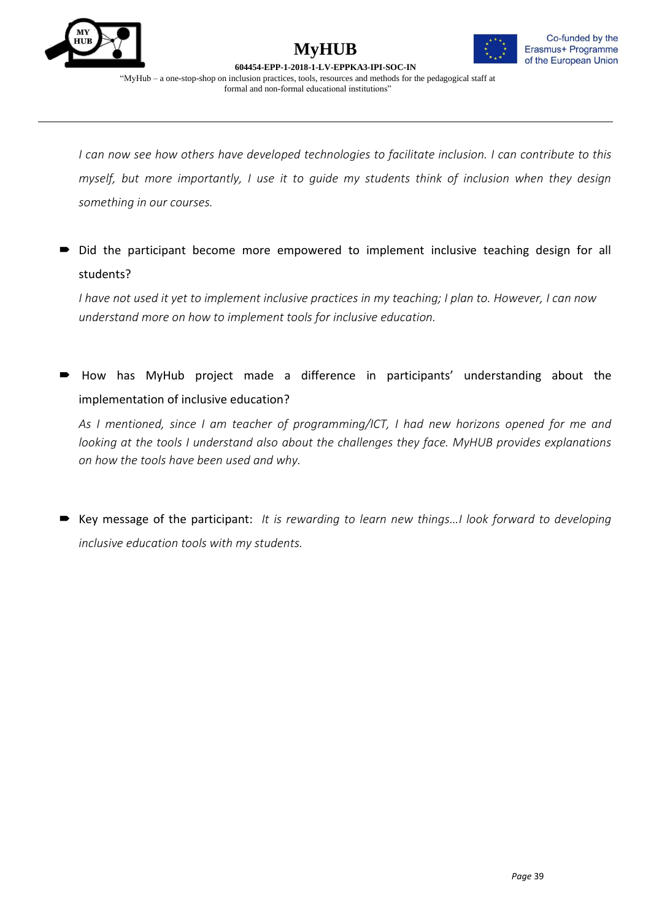



*I can now see how others have developed technologies to facilitate inclusion. I can contribute to this myself, but more importantly, I use it to guide my students think of inclusion when they design something in our courses.*

Did the participant become more empowered to implement inclusive teaching design for all students?

*I have not used it yet to implement inclusive practices in my teaching; I plan to. However, I can now understand more on how to implement tools for inclusive education.*

 How has MyHub project made a difference in participants' understanding about the implementation of inclusive education?

*As I mentioned, since I am teacher of programming/ICT, I had new horizons opened for me and looking at the tools I understand also about the challenges they face. MyHUB provides explanations on how the tools have been used and why.*

■ Key message of the participant: *It is rewarding to learn new things...I look forward to developing inclusive education tools with my students.*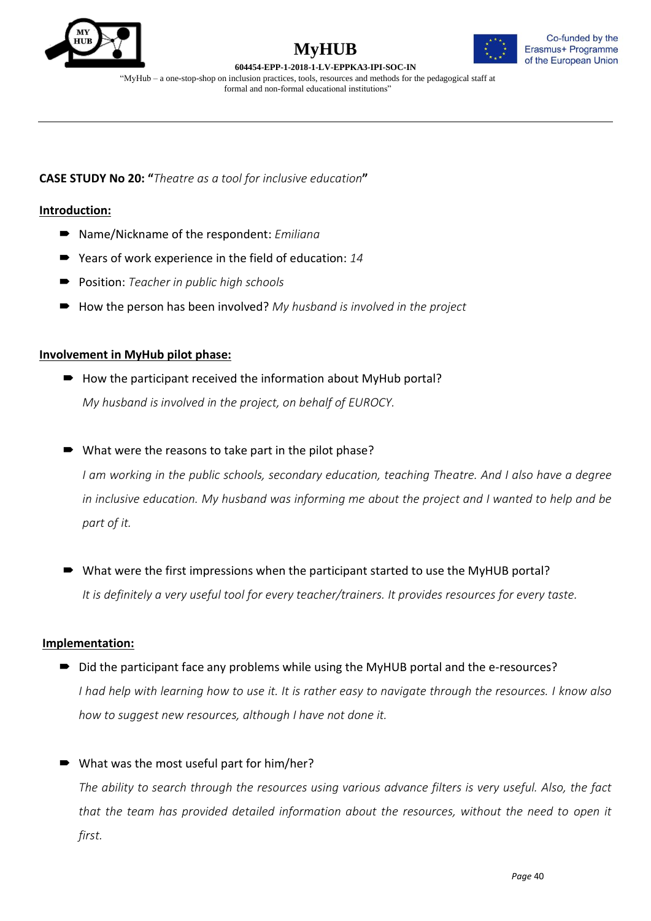





"MyHub – a one-stop-shop on inclusion practices, tools, resources and methods for the pedagogical staff at formal and non-formal educational institutions"

**CASE STUDY No 20: "***Theatre as a tool for inclusive education***"**

## **Introduction:**

- Name/Nickname of the respondent: *Emiliana*
- Years of work experience in the field of education: 14
- Position: *Teacher in public high schools*
- How the person has been involved? My husband *is involved in the project*

## **Involvement in MyHub pilot phase:**

- $\rightarrow$  How the participant received the information about MyHub portal? *My husband is involved in the project, on behalf of EUROCY.*
- What were the reasons to take part in the pilot phase?

*I am working in the public schools, secondary education, teaching Theatre. And I also have a degree in inclusive education. My husband was informing me about the project and I wanted to help and be part of it.*

 What were the first impressions when the participant started to use the MyHUB portal? *It is definitely a very useful tool for every teacher/trainers. It provides resources for every taste.*

## **Implementation:**

- Did the participant face any problems while using the MyHUB portal and the e-resources? *I had help with learning how to use it. It is rather easy to navigate through the resources. I know also how to suggest new resources, although I have not done it.*
- What was the most useful part for him/her?

*The ability to search through the resources using various advance filters is very useful. Also, the fact that the team has provided detailed information about the resources, without the need to open it first.*